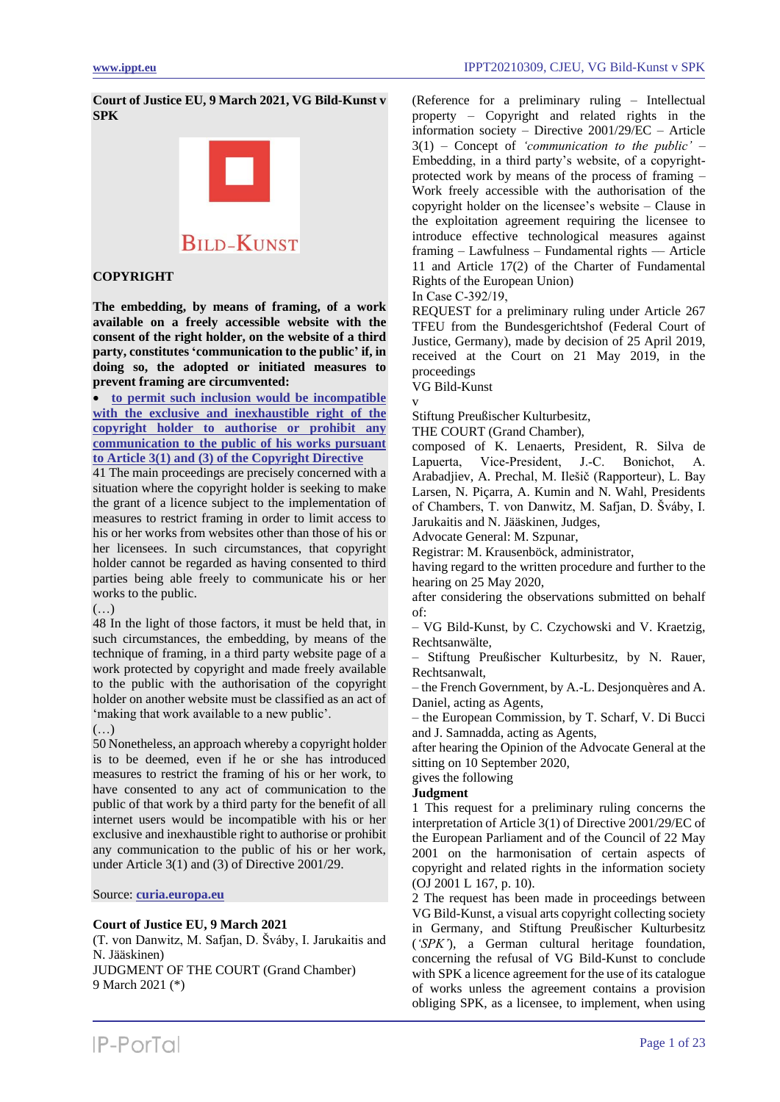**Court of Justice EU, 9 March 2021, VG Bild-Kunst v SPK**

# **BILD-KIINST**

## **COPYRIGHT**

**The embedding, by means of framing, of a work available on a freely accessible website with the consent of the right holder, on the website of a third party, constitutes 'communication to the public' if, in doing so, the adopted or initiated measures to prevent framing are circumvented:**

 **[to permit such inclusion would be incompatible](#page-5-0)  [with the exclusive and inexhaustible right of the](#page-5-0)  [copyright holder to authorise or prohibit any](#page-5-0)  [communication to the public of his works pursuant](#page-5-0)  [to Article 3\(1\) and \(3\) of the Copyright Directive](#page-5-0)**

41 The main proceedings are precisely concerned with a situation where the copyright holder is seeking to make the grant of a licence subject to the implementation of measures to restrict framing in order to limit access to his or her works from websites other than those of his or her licensees. In such circumstances, that copyright holder cannot be regarded as having consented to third parties being able freely to communicate his or her works to the public.

 $(\ldots)$ 

48 In the light of those factors, it must be held that, in such circumstances, the embedding, by means of the technique of framing, in a third party website page of a work protected by copyright and made freely available to the public with the authorisation of the copyright holder on another website must be classified as an act of 'making that work available to a new public'.

 $(\ldots)$ 

50 Nonetheless, an approach whereby a copyright holder is to be deemed, even if he or she has introduced measures to restrict the framing of his or her work, to have consented to any act of communication to the public of that work by a third party for the benefit of all internet users would be incompatible with his or her exclusive and inexhaustible right to authorise or prohibit any communication to the public of his or her work, under Article 3(1) and (3) of Directive 2001/29.

Source: **[curia.europa.eu](https://curia.europa.eu/juris/liste.jsf?oqp=&for=&mat=or&lgrec=EN&jge=&td=%3BALL&jur=C%2CT%2CF&num=C-392%252F19&page=1&dates=&pcs=Oor&lg=&pro=&nat=or&cit=none%252CC%252CCJ%252CR%252C2008E%252C%252C%252C%252C%252C%252C%252C%252C%252C%252Ctrue%252Cfalse%252Cfalse&language=EN&avg=&cid=5792540)**

## **Court of Justice EU, 9 March 2021**

(T. von Danwitz, M. Safjan, D. Šváby, I. Jarukaitis and N. Jääskinen) JUDGMENT OF THE COURT (Grand Chamber) 9 March 2021 (\*)

(Reference for a preliminary ruling – Intellectual property – Copyright and related rights in the information society – Directive 2001/29/EC – Article 3(1) – Concept of *'communication to the public'* – Embedding, in a third party's website, of a copyrightprotected work by means of the process of framing – Work freely accessible with the authorisation of the copyright holder on the licensee's website – Clause in the exploitation agreement requiring the licensee to introduce effective technological measures against framing – Lawfulness – Fundamental rights — Article 11 and Article 17(2) of the Charter of Fundamental Rights of the European Union)

In Case C‑392/19,

REQUEST for a preliminary ruling under Article 267 TFEU from the Bundesgerichtshof (Federal Court of Justice, Germany), made by decision of 25 April 2019, received at the Court on 21 May 2019, in the proceedings

VG Bild-Kunst

v Stiftung Preußischer Kulturbesitz,

THE COURT (Grand Chamber),

composed of K. Lenaerts, President, R. Silva de Lapuerta, Vice-President, J.-C. Bonichot, A. Arabadjiev, A. Prechal, M. Ilešič (Rapporteur), L. Bay Larsen, N. Piçarra, A. Kumin and N. Wahl, Presidents of Chambers, T. von Danwitz, M. Safjan, D. Šváby, I. Jarukaitis and N. Jääskinen, Judges,

Advocate General: M. Szpunar,

Registrar: M. Krausenböck, administrator,

having regard to the written procedure and further to the hearing on 25 May 2020,

after considering the observations submitted on behalf of:

– VG Bild-Kunst, by C. Czychowski and V. Kraetzig, Rechtsanwälte,

– Stiftung Preußischer Kulturbesitz, by N. Rauer, Rechtsanwalt,

– the French Government, by A.-L. Desjonquères and A. Daniel, acting as Agents,

– the European Commission, by T. Scharf, V. Di Bucci and J. Samnadda, acting as Agents,

after hearing the Opinion of the Advocate General at the sitting on 10 September 2020,

## gives the following

## **Judgment**

1 This request for a preliminary ruling concerns the interpretation of Article 3(1) of Directive 2001/29/EC of the European Parliament and of the Council of 22 May 2001 on the harmonisation of certain aspects of copyright and related rights in the information society (OJ 2001 L 167, p. 10).

2 The request has been made in proceedings between VG Bild-Kunst, a visual arts copyright collecting society in Germany, and Stiftung Preußischer Kulturbesitz (*'SPK'*), a German cultural heritage foundation, concerning the refusal of VG Bild-Kunst to conclude with SPK a licence agreement for the use of its catalogue of works unless the agreement contains a provision obliging SPK, as a licensee, to implement, when using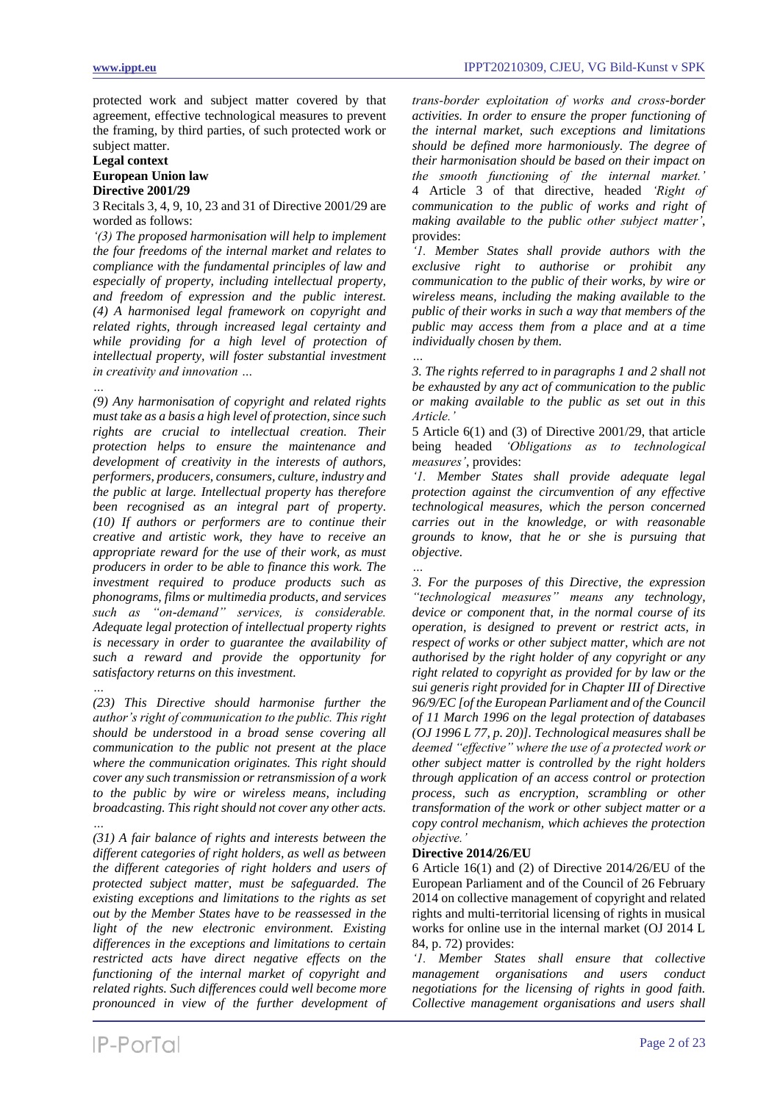protected work and subject matter covered by that agreement, effective technological measures to prevent the framing, by third parties, of such protected work or subject matter.

#### **Legal context European Union law Directive 2001/29**

3 Recitals 3, 4, 9, 10, 23 and 31 of Directive 2001/29 are worded as follows:

*'(3) The proposed harmonisation will help to implement the four freedoms of the internal market and relates to compliance with the fundamental principles of law and especially of property, including intellectual property, and freedom of expression and the public interest. (4) A harmonised legal framework on copyright and related rights, through increased legal certainty and while providing for a high level of protection of intellectual property, will foster substantial investment in creativity and innovation …*

*… (9) Any harmonisation of copyright and related rights must take as a basis a high level of protection, since such rights are crucial to intellectual creation. Their protection helps to ensure the maintenance and development of creativity in the interests of authors, performers, producers, consumers, culture, industry and the public at large. Intellectual property has therefore been recognised as an integral part of property. (10) If authors or performers are to continue their creative and artistic work, they have to receive an appropriate reward for the use of their work, as must producers in order to be able to finance this work. The investment required to produce products such as phonograms, films or multimedia products, and services such as "on-demand" services, is considerable. Adequate legal protection of intellectual property rights is necessary in order to guarantee the availability of such a reward and provide the opportunity for satisfactory returns on this investment.*

*… (23) This Directive should harmonise further the author's right of communication to the public. This right should be understood in a broad sense covering all communication to the public not present at the place where the communication originates. This right should cover any such transmission or retransmission of a work to the public by wire or wireless means, including broadcasting. This right should not cover any other acts.*

*… (31) A fair balance of rights and interests between the different categories of right holders, as well as between the different categories of right holders and users of protected subject matter, must be safeguarded. The existing exceptions and limitations to the rights as set out by the Member States have to be reassessed in the light of the new electronic environment. Existing differences in the exceptions and limitations to certain restricted acts have direct negative effects on the functioning of the internal market of copyright and related rights. Such differences could well become more pronounced in view of the further development of*  *trans‑border exploitation of works and cross-border activities. In order to ensure the proper functioning of the internal market, such exceptions and limitations should be defined more harmoniously. The degree of their harmonisation should be based on their impact on the smooth functioning of the internal market.'* 4 Article 3 of that directive, headed *'Right of communication to the public of works and right of making available to the public other subject matter'*, provides:

*'1. Member States shall provide authors with the exclusive right to authorise or prohibit any communication to the public of their works, by wire or wireless means, including the making available to the public of their works in such a way that members of the public may access them from a place and at a time individually chosen by them.*

*… 3. The rights referred to in paragraphs 1 and 2 shall not be exhausted by any act of communication to the public or making available to the public as set out in this Article.'*

5 Article 6(1) and (3) of Directive 2001/29, that article being headed *'Obligations as to technological measures'*, provides:

*'1. Member States shall provide adequate legal protection against the circumvention of any effective technological measures, which the person concerned carries out in the knowledge, or with reasonable grounds to know, that he or she is pursuing that objective.*

*3. For the purposes of this Directive, the expression "technological measures" means any technology, device or component that, in the normal course of its operation, is designed to prevent or restrict acts, in respect of works or other subject matter, which are not authorised by the right holder of any copyright or any right related to copyright as provided for by law or the sui generis right provided for in Chapter III of Directive 96/9/EC [of the European Parliament and of the Council of 11 March 1996 on the legal protection of databases (OJ 1996 L 77, p. 20)]. Technological measures shall be deemed "effective" where the use of a protected work or other subject matter is controlled by the right holders through application of an access control or protection process, such as encryption, scrambling or other transformation of the work or other subject matter or a copy control mechanism, which achieves the protection objective.'*

## **Directive 2014/26/EU**

*…*

6 Article 16(1) and (2) of Directive 2014/26/EU of the European Parliament and of the Council of 26 February 2014 on collective management of copyright and related rights and multi-territorial licensing of rights in musical works for online use in the internal market (OJ 2014 L 84, p. 72) provides:

*'1. Member States shall ensure that collective management organisations and users conduct negotiations for the licensing of rights in good faith. Collective management organisations and users shall*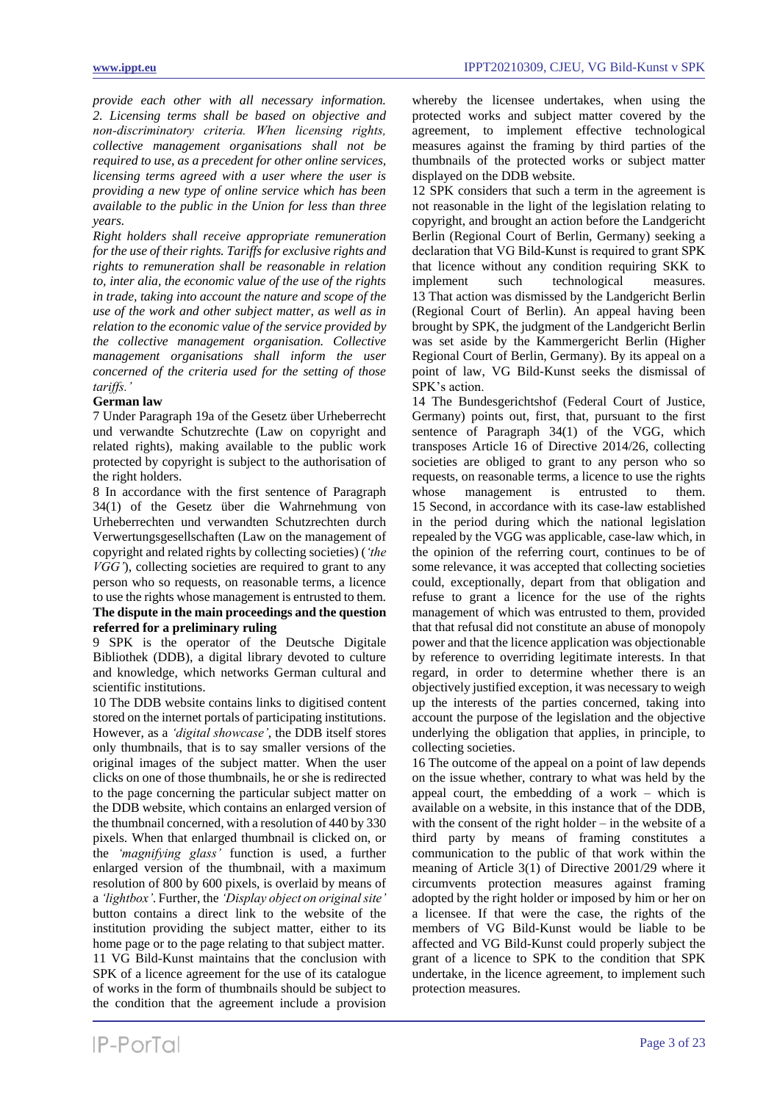*provide each other with all necessary information. 2. Licensing terms shall be based on objective and non‑discriminatory criteria. When licensing rights, collective management organisations shall not be required to use, as a precedent for other online services, licensing terms agreed with a user where the user is providing a new type of online service which has been available to the public in the Union for less than three years.*

*Right holders shall receive appropriate remuneration for the use of their rights. Tariffs for exclusive rights and rights to remuneration shall be reasonable in relation to, inter alia, the economic value of the use of the rights in trade, taking into account the nature and scope of the use of the work and other subject matter, as well as in relation to the economic value of the service provided by the collective management organisation. Collective management organisations shall inform the user concerned of the criteria used for the setting of those tariffs.'*

## **German law**

7 Under Paragraph 19a of the Gesetz über Urheberrecht und verwandte Schutzrechte (Law on copyright and related rights), making available to the public work protected by copyright is subject to the authorisation of the right holders.

8 In accordance with the first sentence of Paragraph 34(1) of the Gesetz über die Wahrnehmung von Urheberrechten und verwandten Schutzrechten durch Verwertungsgesellschaften (Law on the management of copyright and related rights by collecting societies) (*'the VGG'*), collecting societies are required to grant to any person who so requests, on reasonable terms, a licence to use the rights whose management is entrusted to them. **The dispute in the main proceedings and the question referred for a preliminary ruling**

9 SPK is the operator of the Deutsche Digitale Bibliothek (DDB), a digital library devoted to culture and knowledge, which networks German cultural and scientific institutions.

10 The DDB website contains links to digitised content stored on the internet portals of participating institutions. However, as a *'digital showcase'*, the DDB itself stores only thumbnails, that is to say smaller versions of the original images of the subject matter. When the user clicks on one of those thumbnails, he or she is redirected to the page concerning the particular subject matter on the DDB website, which contains an enlarged version of the thumbnail concerned, with a resolution of 440 by 330 pixels. When that enlarged thumbnail is clicked on, or the *'magnifying glass'* function is used, a further enlarged version of the thumbnail, with a maximum resolution of 800 by 600 pixels, is overlaid by means of a *'lightbox'*. Further, the *'Display object on original site'* button contains a direct link to the website of the institution providing the subject matter, either to its home page or to the page relating to that subject matter. 11 VG Bild-Kunst maintains that the conclusion with SPK of a licence agreement for the use of its catalogue of works in the form of thumbnails should be subject to the condition that the agreement include a provision

whereby the licensee undertakes, when using the protected works and subject matter covered by the agreement, to implement effective technological measures against the framing by third parties of the thumbnails of the protected works or subject matter displayed on the DDB website.

12 SPK considers that such a term in the agreement is not reasonable in the light of the legislation relating to copyright, and brought an action before the Landgericht Berlin (Regional Court of Berlin, Germany) seeking a declaration that VG Bild-Kunst is required to grant SPK that licence without any condition requiring SKK to implement such technological measures. 13 That action was dismissed by the Landgericht Berlin (Regional Court of Berlin). An appeal having been brought by SPK, the judgment of the Landgericht Berlin was set aside by the Kammergericht Berlin (Higher Regional Court of Berlin, Germany). By its appeal on a point of law, VG Bild-Kunst seeks the dismissal of SPK's action.

14 The Bundesgerichtshof (Federal Court of Justice, Germany) points out, first, that, pursuant to the first sentence of Paragraph 34(1) of the VGG, which transposes Article 16 of Directive 2014/26, collecting societies are obliged to grant to any person who so requests, on reasonable terms, a licence to use the rights whose management is entrusted to them. 15 Second, in accordance with its case-law established in the period during which the national legislation repealed by the VGG was applicable, case-law which, in the opinion of the referring court, continues to be of some relevance, it was accepted that collecting societies could, exceptionally, depart from that obligation and refuse to grant a licence for the use of the rights management of which was entrusted to them, provided that that refusal did not constitute an abuse of monopoly power and that the licence application was objectionable by reference to overriding legitimate interests. In that regard, in order to determine whether there is an objectively justified exception, it was necessary to weigh up the interests of the parties concerned, taking into account the purpose of the legislation and the objective underlying the obligation that applies, in principle, to collecting societies.

16 The outcome of the appeal on a point of law depends on the issue whether, contrary to what was held by the appeal court, the embedding of a work – which is available on a website, in this instance that of the DDB, with the consent of the right holder – in the website of a third party by means of framing constitutes a communication to the public of that work within the meaning of Article 3(1) of Directive 2001/29 where it circumvents protection measures against framing adopted by the right holder or imposed by him or her on a licensee. If that were the case, the rights of the members of VG Bild-Kunst would be liable to be affected and VG Bild-Kunst could properly subject the grant of a licence to SPK to the condition that SPK undertake, in the licence agreement, to implement such protection measures.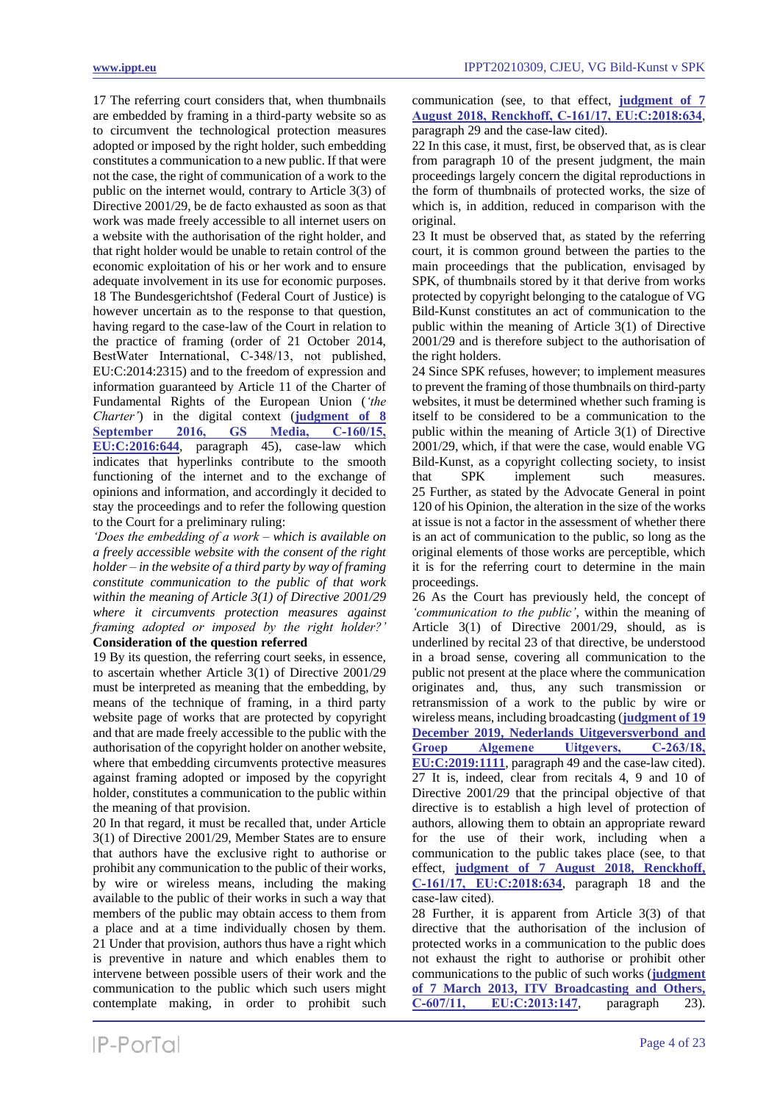17 The referring court considers that, when thumbnails are embedded by framing in a third-party website so as to circumvent the technological protection measures adopted or imposed by the right holder, such embedding constitutes a communication to a new public. If that were not the case, the right of communication of a work to the public on the internet would, contrary to Article 3(3) of Directive 2001/29, be de facto exhausted as soon as that work was made freely accessible to all internet users on a website with the authorisation of the right holder, and that right holder would be unable to retain control of the economic exploitation of his or her work and to ensure adequate involvement in its use for economic purposes. 18 The Bundesgerichtshof (Federal Court of Justice) is however uncertain as to the response to that question, having regard to the case-law of the Court in relation to the practice of framing (order of 21 October 2014, BestWater International, C‑348/13, not published, EU:C:2014:2315) and to the freedom of expression and information guaranteed by Article 11 of the Charter of Fundamental Rights of the European Union (*'the Charter'*) in the digital context (**[judgment of 8](https://www.ippt.eu/sites/ippt/files/2016/IPPT20160908_CJEU_GeenStijl_v_Sanoma.pdf)  [September 2016, GS Media, C‑160/15,](https://www.ippt.eu/sites/ippt/files/2016/IPPT20160908_CJEU_GeenStijl_v_Sanoma.pdf)  [EU:C:2016:644](https://www.ippt.eu/sites/ippt/files/2016/IPPT20160908_CJEU_GeenStijl_v_Sanoma.pdf)**, paragraph 45), case-law which indicates that hyperlinks contribute to the smooth functioning of the internet and to the exchange of opinions and information, and accordingly it decided to stay the proceedings and to refer the following question to the Court for a preliminary ruling:

*'Does the embedding of a work – which is available on a freely accessible website with the consent of the right holder – in the website of a third party by way of framing constitute communication to the public of that work within the meaning of Article 3(1) of Directive 2001/29 where it circumvents protection measures against framing adopted or imposed by the right holder?'* **Consideration of the question referred**

19 By its question, the referring court seeks, in essence, to ascertain whether Article 3(1) of Directive 2001/29 must be interpreted as meaning that the embedding, by means of the technique of framing, in a third party website page of works that are protected by copyright and that are made freely accessible to the public with the authorisation of the copyright holder on another website, where that embedding circumvents protective measures against framing adopted or imposed by the copyright holder, constitutes a communication to the public within the meaning of that provision.

20 In that regard, it must be recalled that, under Article 3(1) of Directive 2001/29, Member States are to ensure that authors have the exclusive right to authorise or prohibit any communication to the public of their works, by wire or wireless means, including the making available to the public of their works in such a way that members of the public may obtain access to them from a place and at a time individually chosen by them. 21 Under that provision, authors thus have a right which is preventive in nature and which enables them to intervene between possible users of their work and the communication to the public which such users might contemplate making, in order to prohibit such communication (see, to that effect, **[judgment of 7](https://www.ippt.eu/sites/ippt/files/2018/IPPT20180807_CJEU_Land_Nordrhein-Westfalen_v_Renckhoff.pdf)  [August 2018, Renckhoff, C‑161/17, EU:C:2018:634](https://www.ippt.eu/sites/ippt/files/2018/IPPT20180807_CJEU_Land_Nordrhein-Westfalen_v_Renckhoff.pdf)**, paragraph 29 and the case-law cited).

22 In this case, it must, first, be observed that, as is clear from paragraph 10 of the present judgment, the main proceedings largely concern the digital reproductions in the form of thumbnails of protected works, the size of which is, in addition, reduced in comparison with the original.

23 It must be observed that, as stated by the referring court, it is common ground between the parties to the main proceedings that the publication, envisaged by SPK, of thumbnails stored by it that derive from works protected by copyright belonging to the catalogue of VG Bild-Kunst constitutes an act of communication to the public within the meaning of Article 3(1) of Directive 2001/29 and is therefore subject to the authorisation of the right holders.

24 Since SPK refuses, however; to implement measures to prevent the framing of those thumbnails on third-party websites, it must be determined whether such framing is itself to be considered to be a communication to the public within the meaning of Article 3(1) of Directive 2001/29, which, if that were the case, would enable VG Bild-Kunst, as a copyright collecting society, to insist that SPK implement such measures. 25 Further, as stated by the Advocate General in point 120 of his Opinion, the alteration in the size of the works at issue is not a factor in the assessment of whether there is an act of communication to the public, so long as the original elements of those works are perceptible, which it is for the referring court to determine in the main proceedings.

26 As the Court has previously held, the concept of *'communication to the public'*, within the meaning of Article 3(1) of Directive 2001/29, should, as is underlined by recital 23 of that directive, be understood in a broad sense, covering all communication to the public not present at the place where the communication originates and, thus, any such transmission or retransmission of a work to the public by wire or wireless means, including broadcasting (**[judgment of 19](https://www.ippt.eu/sites/ippt/files/2019/IPPT20191219_CJEU_NUV_v_Tom_Kabinet.pdf)  [December 2019, Nederlands Uitgeversverbond and](https://www.ippt.eu/sites/ippt/files/2019/IPPT20191219_CJEU_NUV_v_Tom_Kabinet.pdf)  [Groep Algemene Uitgevers, C‑263/18,](https://www.ippt.eu/sites/ippt/files/2019/IPPT20191219_CJEU_NUV_v_Tom_Kabinet.pdf)  [EU:C:2019:1111](https://www.ippt.eu/sites/ippt/files/2019/IPPT20191219_CJEU_NUV_v_Tom_Kabinet.pdf)**, paragraph 49 and the case-law cited). 27 It is, indeed, clear from recitals 4, 9 and 10 of Directive 2001/29 that the principal objective of that directive is to establish a high level of protection of authors, allowing them to obtain an appropriate reward for the use of their work, including when a communication to the public takes place (see, to that effect, **[judgment of 7 August 2018, Renckhoff,](https://www.ippt.eu/sites/ippt/files/2018/IPPT20180807_CJEU_Land_Nordrhein-Westfalen_v_Renckhoff.pdf)  [C‑161/17, EU:C:2018:634](https://www.ippt.eu/sites/ippt/files/2018/IPPT20180807_CJEU_Land_Nordrhein-Westfalen_v_Renckhoff.pdf)**, paragraph 18 and the case-law cited).

28 Further, it is apparent from Article 3(3) of that directive that the authorisation of the inclusion of protected works in a communication to the public does not exhaust the right to authorise or prohibit other communications to the public of such works (**[judgment](https://www.ippt.eu/sites/ippt/files/2017/IPPT20170301_CJEU_ITV_v_TVCatchup.pdf)  [of 7 March 2013, ITV Broadcasting and Others,](https://www.ippt.eu/sites/ippt/files/2017/IPPT20170301_CJEU_ITV_v_TVCatchup.pdf)  [C‑607/11, EU:C:2013:147](https://www.ippt.eu/sites/ippt/files/2017/IPPT20170301_CJEU_ITV_v_TVCatchup.pdf)**, paragraph 23).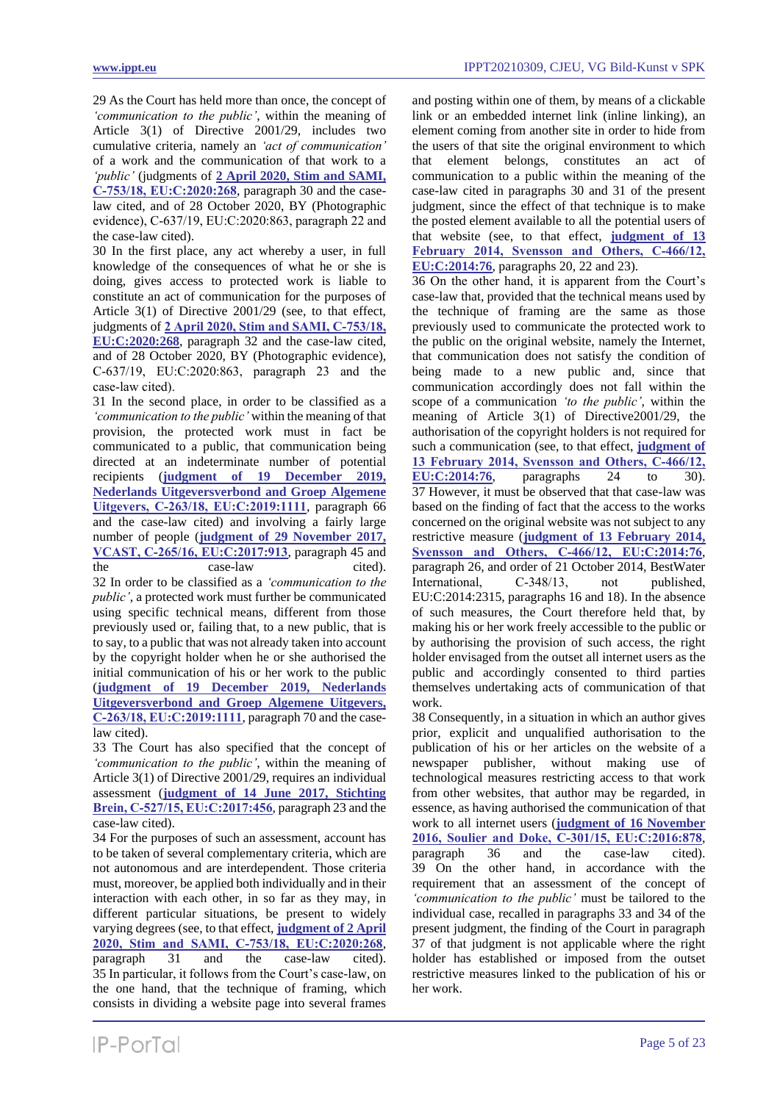29 As the Court has held more than once, the concept of *'communication to the public'*, within the meaning of Article 3(1) of Directive 2001/29, includes two cumulative criteria, namely an *'act of communication'* of a work and the communication of that work to a *'public'* (judgments of **[2 April 2020, Stim and SAMI,](https://www.ippt.eu/sites/ippt/files/2020/IPPT20200402_CJEU_Stim_and_SAMI.pdf)  [C‑753/18, EU:C:2020:268](https://www.ippt.eu/sites/ippt/files/2020/IPPT20200402_CJEU_Stim_and_SAMI.pdf)**, paragraph 30 and the caselaw cited, and of 28 October 2020, BY (Photographic evidence), C‑637/19, EU:C:2020:863, paragraph 22 and the case-law cited).

30 In the first place, any act whereby a user, in full knowledge of the consequences of what he or she is doing, gives access to protected work is liable to constitute an act of communication for the purposes of Article 3(1) of Directive 2001/29 (see, to that effect, judgments of **[2 April 2020, Stim and SAMI, C‑753/18,](https://www.ippt.eu/sites/ippt/files/2020/IPPT20200402_CJEU_Stim_and_SAMI.pdf)  [EU:C:2020:268](https://www.ippt.eu/sites/ippt/files/2020/IPPT20200402_CJEU_Stim_and_SAMI.pdf)**, paragraph 32 and the case-law cited, and of 28 October 2020, BY (Photographic evidence), C‑637/19, EU:C:2020:863, paragraph 23 and the case‑law cited).

31 In the second place, in order to be classified as a *'communication to the public'* within the meaning of that provision, the protected work must in fact be communicated to a public, that communication being directed at an indeterminate number of potential recipients (**[judgment of 19 December 2019,](https://www.ippt.eu/sites/ippt/files/2019/IPPT20191219_CJEU_NUV_v_Tom_Kabinet.pdf)  [Nederlands Uitgeversverbond and Groep Algemene](https://www.ippt.eu/sites/ippt/files/2019/IPPT20191219_CJEU_NUV_v_Tom_Kabinet.pdf)  [Uitgevers, C‑263/18, EU:C:2019:1111](https://www.ippt.eu/sites/ippt/files/2019/IPPT20191219_CJEU_NUV_v_Tom_Kabinet.pdf)**, paragraph 66 and the case-law cited) and involving a fairly large number of people (**[judgment of 29 November 2017,](https://www.ippt.eu/sites/ippt/files/2017/IPPT20171129_CJEU_VCAST_v_RTI.pdf)  [VCAST, C‑265/16, EU:C:2017:913](https://www.ippt.eu/sites/ippt/files/2017/IPPT20171129_CJEU_VCAST_v_RTI.pdf)**, paragraph 45 and the case-law cited). 32 In order to be classified as a *'communication to the public'*, a protected work must further be communicated using specific technical means, different from those

previously used or, failing that, to a new public, that is to say, to a public that was not already taken into account by the copyright holder when he or she authorised the initial communication of his or her work to the public (**[judgment of 19 December 2019, Nederlands](https://www.ippt.eu/sites/ippt/files/2019/IPPT20191219_CJEU_NUV_v_Tom_Kabinet.pdf)  [Uitgeversverbond and Groep Algemene Uitgevers,](https://www.ippt.eu/sites/ippt/files/2019/IPPT20191219_CJEU_NUV_v_Tom_Kabinet.pdf)  [C‑263/18, EU:C:2019:1111](https://www.ippt.eu/sites/ippt/files/2019/IPPT20191219_CJEU_NUV_v_Tom_Kabinet.pdf)**, paragraph 70 and the caselaw cited).

33 The Court has also specified that the concept of *'communication to the public'*, within the meaning of Article 3(1) of Directive 2001/29, requires an individual assessment (**[judgment of 14 June 2017, Stichting](https://www.ippt.eu/sites/ippt/files/2017/IPPT20170614_CJEU_Brein_v_Ziggo_XS4ALL.pdf)  [Brein, C‑527/15, EU:C:2017:456](https://www.ippt.eu/sites/ippt/files/2017/IPPT20170614_CJEU_Brein_v_Ziggo_XS4ALL.pdf)**, paragraph 23 and the case-law cited).

34 For the purposes of such an assessment, account has to be taken of several complementary criteria, which are not autonomous and are interdependent. Those criteria must, moreover, be applied both individually and in their interaction with each other, in so far as they may, in different particular situations, be present to widely varying degrees (see, to that effect, **[judgment of 2 April](https://www.ippt.eu/sites/ippt/files/2020/IPPT20200402_CJEU_Stim_and_SAMI.pdf)  [2020, Stim and SAMI, C‑753/18, EU:C:2020:268](https://www.ippt.eu/sites/ippt/files/2020/IPPT20200402_CJEU_Stim_and_SAMI.pdf)**, paragraph 31 and the case-law cited). 35 In particular, it follows from the Court's case-law, on the one hand, that the technique of framing, which consists in dividing a website page into several frames

and posting within one of them, by means of a clickable link or an embedded internet link (inline linking), an element coming from another site in order to hide from the users of that site the original environment to which that element belongs, constitutes an act communication to a public within the meaning of the case-law cited in paragraphs 30 and 31 of the present judgment, since the effect of that technique is to make the posted element available to all the potential users of that website (see, to that effect, **[judgment of 13](https://www.ippt.eu/sites/ippt/files/2014/IPPT20140213_ECJ_Svensson_Retriever.pdf)**  February 2014, Svensson and Others, C-466/12, **[EU:C:2014:76](https://www.ippt.eu/sites/ippt/files/2014/IPPT20140213_ECJ_Svensson_Retriever.pdf)**, paragraphs 20, 22 and 23).

36 On the other hand, it is apparent from the Court's case-law that, provided that the technical means used by the technique of framing are the same as those previously used to communicate the protected work to the public on the original website, namely the Internet, that communication does not satisfy the condition of being made to a new public and, since that communication accordingly does not fall within the scope of a communication *'to the public'*, within the meaning of Article 3(1) of Directive2001/29, the authorisation of the copyright holders is not required for such a communication (see, to that effect, **[judgment of](https://www.ippt.eu/sites/ippt/files/2014/IPPT20140213_ECJ_Svensson_Retriever.pdf)  [13 February 2014, Svensson and Others, C‑466/12,](https://www.ippt.eu/sites/ippt/files/2014/IPPT20140213_ECJ_Svensson_Retriever.pdf)  [EU:C:2014:76](https://www.ippt.eu/sites/ippt/files/2014/IPPT20140213_ECJ_Svensson_Retriever.pdf)**, paragraphs 24 to 30). 37 However, it must be observed that that case-law was based on the finding of fact that the access to the works concerned on the original website was not subject to any restrictive measure (**[judgment of 13 February 2014,](https://www.ippt.eu/sites/ippt/files/2014/IPPT20140213_ECJ_Svensson_Retriever.pdf)  [Svensson and Others, C‑466/12, EU:C:2014:76](https://www.ippt.eu/sites/ippt/files/2014/IPPT20140213_ECJ_Svensson_Retriever.pdf)**, paragraph 26, and order of 21 October 2014, BestWater International, C-348/13, not published, EU:C:2014:2315, paragraphs 16 and 18). In the absence of such measures, the Court therefore held that, by making his or her work freely accessible to the public or by authorising the provision of such access, the right holder envisaged from the outset all internet users as the public and accordingly consented to third parties themselves undertaking acts of communication of that work.

38 Consequently, in a situation in which an author gives prior, explicit and unqualified authorisation to the publication of his or her articles on the website of a newspaper publisher, without making use of technological measures restricting access to that work from other websites, that author may be regarded, in essence, as having authorised the communication of that work to all internet users (**[judgment of 16 November](https://www.ippt.eu/sites/ippt/files/2016/IPPT20161116_CJEU_Soulier_Doke.pdf)  [2016, Soulier and Doke, C‑301/15, EU:C:2016:878](https://www.ippt.eu/sites/ippt/files/2016/IPPT20161116_CJEU_Soulier_Doke.pdf)**, paragraph 36 and the case-law cited). 39 On the other hand, in accordance with the requirement that an assessment of the concept of *'communication to the public'* must be tailored to the individual case, recalled in paragraphs 33 and 34 of the present judgment, the finding of the Court in paragraph 37 of that judgment is not applicable where the right holder has established or imposed from the outset restrictive measures linked to the publication of his or her work.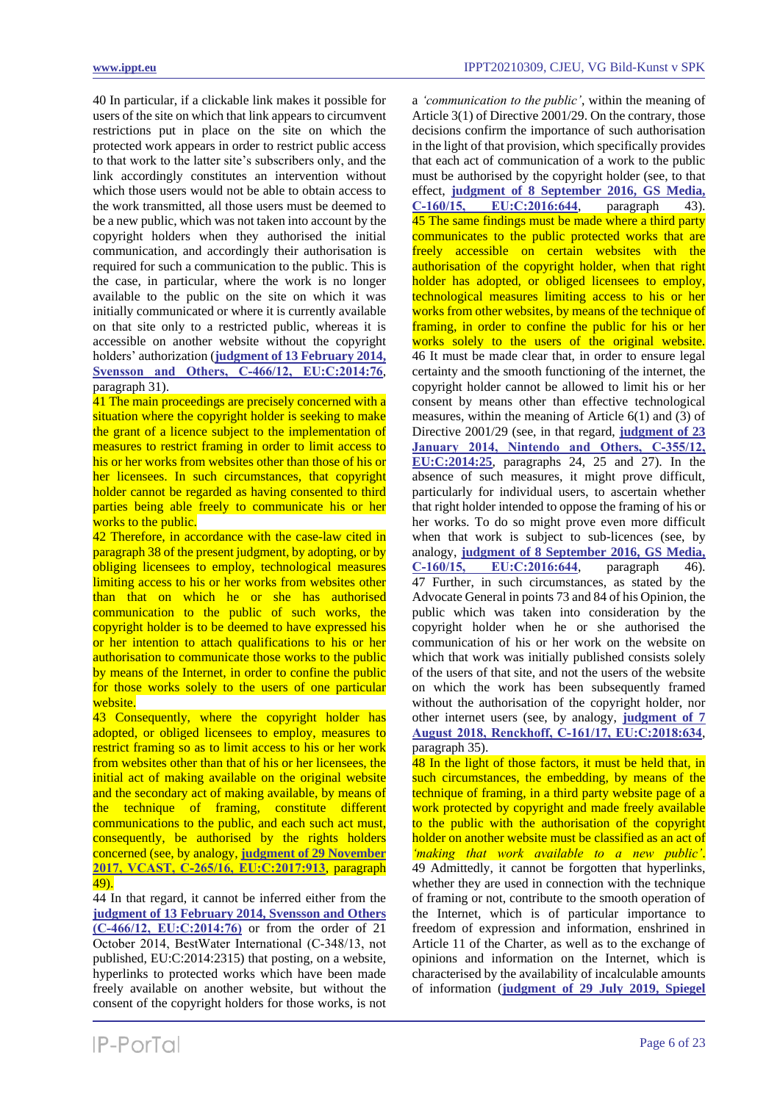40 In particular, if a clickable link makes it possible for users of the site on which that link appears to circumvent restrictions put in place on the site on which the protected work appears in order to restrict public access to that work to the latter site's subscribers only, and the link accordingly constitutes an intervention without which those users would not be able to obtain access to the work transmitted, all those users must be deemed to be a new public, which was not taken into account by the copyright holders when they authorised the initial communication, and accordingly their authorisation is required for such a communication to the public. This is the case, in particular, where the work is no longer available to the public on the site on which it was initially communicated or where it is currently available on that site only to a restricted public, whereas it is accessible on another website without the copyright holders' authorization (**[judgment of 13 February 2014,](https://www.ippt.eu/sites/ippt/files/2014/IPPT20140213_ECJ_Svensson_Retriever.pdf)  [Svensson and Others, C‑466/12, EU:C:2014:76](https://www.ippt.eu/sites/ippt/files/2014/IPPT20140213_ECJ_Svensson_Retriever.pdf)**, paragraph 31).

<span id="page-5-0"></span>41 The main proceedings are precisely concerned with a situation where the copyright holder is seeking to make the grant of a licence subject to the implementation of measures to restrict framing in order to limit access to his or her works from websites other than those of his or her licensees. In such circumstances, that copyright holder cannot be regarded as having consented to third parties being able freely to communicate his or her works to the public.

42 Therefore, in accordance with the case-law cited in paragraph 38 of the present judgment, by adopting, or by obliging licensees to employ, technological measures limiting access to his or her works from websites other than that on which he or she has authorised communication to the public of such works, the copyright holder is to be deemed to have expressed his or her intention to attach qualifications to his or her authorisation to communicate those works to the public by means of the Internet, in order to confine the public for those works solely to the users of one particular website.

43 Consequently, where the copyright holder has adopted, or obliged licensees to employ, measures to restrict framing so as to limit access to his or her work from websites other than that of his or her licensees, the initial act of making available on the original website and the secondary act of making available, by means of the technique of framing, constitute different communications to the public, and each such act must, consequently, be authorised by the rights holders concerned (see, by analogy, **[judgment of 29 November](https://www.ippt.eu/sites/ippt/files/2017/IPPT20171129_CJEU_VCAST_v_RTI.pdf)  [2017, VCAST, C‑265/16, EU:C:2017:913](https://www.ippt.eu/sites/ippt/files/2017/IPPT20171129_CJEU_VCAST_v_RTI.pdf)**, paragraph 49).

44 In that regard, it cannot be inferred either from the **[judgment of 13 February 2014, Svensson and Others](https://www.ippt.eu/sites/ippt/files/2014/IPPT20140213_ECJ_Svensson_Retriever.pdf)  [\(C‑466/12, EU:C:2014:76\)](https://www.ippt.eu/sites/ippt/files/2014/IPPT20140213_ECJ_Svensson_Retriever.pdf)** or from the order of 21 October 2014, BestWater International (C‑348/13, not published, EU:C:2014:2315) that posting, on a website, hyperlinks to protected works which have been made freely available on another website, but without the consent of the copyright holders for those works, is not a *'communication to the public'*, within the meaning of Article 3(1) of Directive 2001/29. On the contrary, those decisions confirm the importance of such authorisation in the light of that provision, which specifically provides that each act of communication of a work to the public must be authorised by the copyright holder (see, to that effect, **[judgment of 8 September 2016, GS Media,](https://www.ippt.eu/sites/ippt/files/2016/IPPT20160908_CJEU_GeenStijl_v_Sanoma.pdf)  [C‑160/15, EU:C:2016:644](https://www.ippt.eu/sites/ippt/files/2016/IPPT20160908_CJEU_GeenStijl_v_Sanoma.pdf)**, paragraph 43). 45 The same findings must be made where a third party communicates to the public protected works that are freely accessible on certain websites with the authorisation of the copyright holder, when that right holder has adopted, or obliged licensees to employ, technological measures limiting access to his or her works from other websites, by means of the technique of framing, in order to confine the public for his or her works solely to the users of the original website. 46 It must be made clear that, in order to ensure legal certainty and the smooth functioning of the internet, the copyright holder cannot be allowed to limit his or her consent by means other than effective technological measures, within the meaning of Article 6(1) and (3) of Directive 2001/29 (see, in that regard, **[judgment of 23](https://www.ippt.eu/sites/ippt/files/2014/IPPT20140123_ECJ_Nintendo_v_PC_Box.pdf)  [January 2014, Nintendo and Others, C‑355/12,](https://www.ippt.eu/sites/ippt/files/2014/IPPT20140123_ECJ_Nintendo_v_PC_Box.pdf)  [EU:C:2014:25](https://www.ippt.eu/sites/ippt/files/2014/IPPT20140123_ECJ_Nintendo_v_PC_Box.pdf)**, paragraphs 24, 25 and 27). In the absence of such measures, it might prove difficult, particularly for individual users, to ascertain whether that right holder intended to oppose the framing of his or her works. To do so might prove even more difficult when that work is subject to sub-licences (see, by analogy, **[judgment of 8 September 2016, GS Media,](https://www.ippt.eu/sites/ippt/files/2016/IPPT20160908_CJEU_GeenStijl_v_Sanoma.pdf)  [C‑160/15, EU:C:2016:644](https://www.ippt.eu/sites/ippt/files/2016/IPPT20160908_CJEU_GeenStijl_v_Sanoma.pdf)**, paragraph 46). 47 Further, in such circumstances, as stated by the Advocate General in points 73 and 84 of his Opinion, the public which was taken into consideration by the copyright holder when he or she authorised the communication of his or her work on the website on which that work was initially published consists solely of the users of that site, and not the users of the website on which the work has been subsequently framed without the authorisation of the copyright holder, nor other internet users (see, by analogy, **[judgment of 7](https://www.ippt.eu/sites/ippt/files/2018/IPPT20180807_CJEU_Land_Nordrhein-Westfalen_v_Renckhoff.pdf)  [August 2018, Renckhoff, C‑161/17, EU:C:2018:634](https://www.ippt.eu/sites/ippt/files/2018/IPPT20180807_CJEU_Land_Nordrhein-Westfalen_v_Renckhoff.pdf)**, paragraph 35).

48 In the light of those factors, it must be held that, in such circumstances, the embedding, by means of the technique of framing, in a third party website page of a work protected by copyright and made freely available to the public with the authorisation of the copyright holder on another website must be classified as an act of *'making that work available to a new public'*. 49 Admittedly, it cannot be forgotten that hyperlinks, whether they are used in connection with the technique of framing or not, contribute to the smooth operation of the Internet, which is of particular importance to freedom of expression and information, enshrined in Article 11 of the Charter, as well as to the exchange of opinions and information on the Internet, which is characterised by the availability of incalculable amounts of information (**judgment [of 29 July 2019, Spiegel](https://www.ippt.eu/sites/ippt/files/2019/IPPT20190729_CJEU_Spiegel_Online_v_Volker_Beck.pdf)**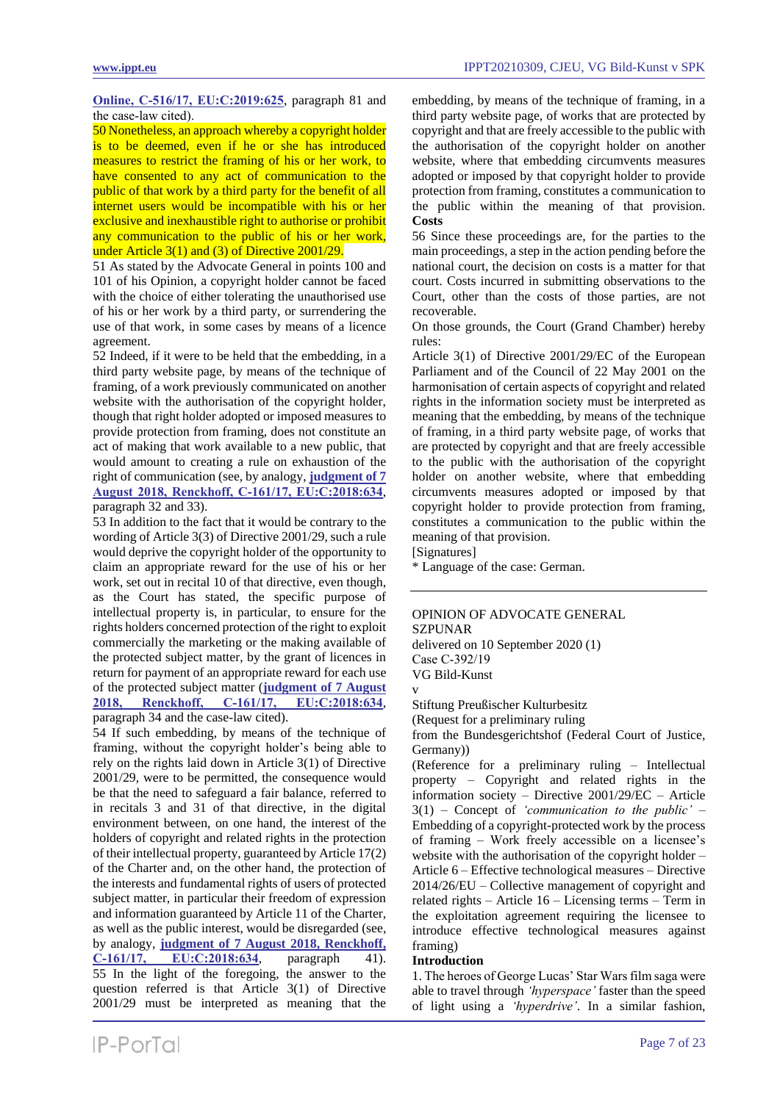**[Online, C‑516/17, EU:C:2019:625](https://www.ippt.eu/sites/ippt/files/2019/IPPT20190729_CJEU_Spiegel_Online_v_Volker_Beck.pdf)**, paragraph 81 and the case-law cited).

50 Nonetheless, an approach whereby a copyright holder is to be deemed, even if he or she has introduced measures to restrict the framing of his or her work, to have consented to any act of communication to the public of that work by a third party for the benefit of all internet users would be incompatible with his or her exclusive and inexhaustible right to authorise or prohibit any communication to the public of his or her work, under Article 3(1) and (3) of Directive 2001/29.

51 As stated by the Advocate General in points 100 and 101 of his Opinion, a copyright holder cannot be faced with the choice of either tolerating the unauthorised use of his or her work by a third party, or surrendering the use of that work, in some cases by means of a licence agreement.

52 Indeed, if it were to be held that the embedding, in a third party website page, by means of the technique of framing, of a work previously communicated on another website with the authorisation of the copyright holder, though that right holder adopted or imposed measures to provide protection from framing, does not constitute an act of making that work available to a new public, that would amount to creating a rule on exhaustion of the right of communication (see, by analogy, **[judgment of 7](https://www.ippt.eu/sites/ippt/files/2018/IPPT20180807_CJEU_Land_Nordrhein-Westfalen_v_Renckhoff.pdf)  [August 2018, Renckhoff, C‑161/17, EU:C:2018:634](https://www.ippt.eu/sites/ippt/files/2018/IPPT20180807_CJEU_Land_Nordrhein-Westfalen_v_Renckhoff.pdf)**, paragraph 32 and 33).

53 In addition to the fact that it would be contrary to the wording of Article 3(3) of Directive 2001/29, such a rule would deprive the copyright holder of the opportunity to claim an appropriate reward for the use of his or her work, set out in recital 10 of that directive, even though, as the Court has stated, the specific purpose of intellectual property is, in particular, to ensure for the rights holders concerned protection of the right to exploit commercially the marketing or the making available of the protected subject matter, by the grant of licences in return for payment of an appropriate reward for each use of the protected subject matter (**[judgment of 7 August](https://www.ippt.eu/sites/ippt/files/2018/IPPT20180807_CJEU_Land_Nordrhein-Westfalen_v_Renckhoff.pdf)  [2018, Renckhoff, C‑161/17, EU:C:2018:634](https://www.ippt.eu/sites/ippt/files/2018/IPPT20180807_CJEU_Land_Nordrhein-Westfalen_v_Renckhoff.pdf)**, paragraph 34 and the case-law cited).

54 If such embedding, by means of the technique of framing, without the copyright holder's being able to rely on the rights laid down in Article 3(1) of Directive 2001/29, were to be permitted, the consequence would be that the need to safeguard a fair balance, referred to in recitals 3 and 31 of that directive, in the digital environment between, on one hand, the interest of the holders of copyright and related rights in the protection of their intellectual property, guaranteed by Article 17(2) of the Charter and, on the other hand, the protection of the interests and fundamental rights of users of protected subject matter, in particular their freedom of expression and information guaranteed by Article 11 of the Charter, as well as the public interest, would be disregarded (see, by analogy, **[judgment of 7 August 2018, Renckhoff,](https://www.ippt.eu/sites/ippt/files/2018/IPPT20180807_CJEU_Land_Nordrhein-Westfalen_v_Renckhoff.pdf)  [C‑161/17, EU:C:2018:634](https://www.ippt.eu/sites/ippt/files/2018/IPPT20180807_CJEU_Land_Nordrhein-Westfalen_v_Renckhoff.pdf)**, paragraph 41). 55 In the light of the foregoing, the answer to the question referred is that Article 3(1) of Directive 2001/29 must be interpreted as meaning that the

embedding, by means of the technique of framing, in a third party website page, of works that are protected by copyright and that are freely accessible to the public with the authorisation of the copyright holder on another website, where that embedding circumvents measures adopted or imposed by that copyright holder to provide protection from framing, constitutes a communication to the public within the meaning of that provision. **Costs**

56 Since these proceedings are, for the parties to the main proceedings, a step in the action pending before the national court, the decision on costs is a matter for that court. Costs incurred in submitting observations to the Court, other than the costs of those parties, are not recoverable.

On those grounds, the Court (Grand Chamber) hereby rules:

Article 3(1) of Directive 2001/29/EC of the European Parliament and of the Council of 22 May 2001 on the harmonisation of certain aspects of copyright and related rights in the information society must be interpreted as meaning that the embedding, by means of the technique of framing, in a third party website page, of works that are protected by copyright and that are freely accessible to the public with the authorisation of the copyright holder on another website, where that embedding circumvents measures adopted or imposed by that copyright holder to provide protection from framing, constitutes a communication to the public within the meaning of that provision.

[Signatures]

\* Language of the case: German.

## OPINION OF ADVOCATE GENERAL

SZPUNAR delivered on 10 September 2020 (1)

Case C‑392/19 VG Bild-Kunst

v

Stiftung Preußischer Kulturbesitz

(Request for a preliminary ruling

from the Bundesgerichtshof (Federal Court of Justice, Germany))

(Reference for a preliminary ruling – Intellectual property – Copyright and related rights in the information society – Directive 2001/29/EC – Article 3(1) – Concept of *'communication to the public'* – Embedding of a copyright-protected work by the process of framing – Work freely accessible on a licensee's website with the authorisation of the copyright holder – Article 6 – Effective technological measures – Directive 2014/26/EU – Collective management of copyright and related rights – Article 16 – Licensing terms – Term in the exploitation agreement requiring the licensee to introduce effective technological measures against framing)

## **Introduction**

1. The heroes of George Lucas' Star Wars film saga were able to travel through *'hyperspace'* faster than the speed of light using a *'hyperdrive'*. In a similar fashion,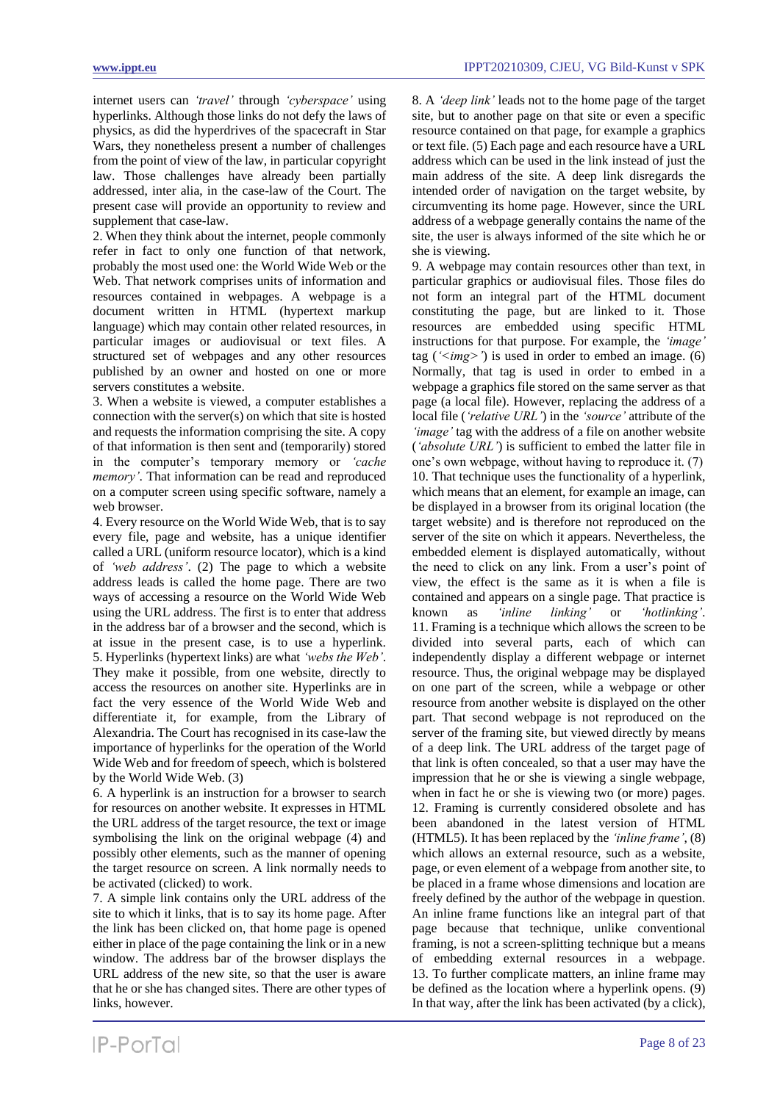internet users can *'travel'* through *'cyberspace'* using hyperlinks. Although those links do not defy the laws of physics, as did the hyperdrives of the spacecraft in Star Wars, they nonetheless present a number of challenges from the point of view of the law, in particular copyright law. Those challenges have already been partially addressed, inter alia, in the case-law of the Court. The present case will provide an opportunity to review and supplement that case-law.

2. When they think about the internet, people commonly refer in fact to only one function of that network, probably the most used one: the World Wide Web or the Web. That network comprises units of information and resources contained in webpages. A webpage is a document written in HTML (hypertext markup language) which may contain other related resources, in particular images or audiovisual or text files. A structured set of webpages and any other resources published by an owner and hosted on one or more servers constitutes a website.

3. When a website is viewed, a computer establishes a connection with the server(s) on which that site is hosted and requests the information comprising the site. A copy of that information is then sent and (temporarily) stored in the computer's temporary memory or *'cache memory'*. That information can be read and reproduced on a computer screen using specific software, namely a web browser.

4. Every resource on the World Wide Web, that is to say every file, page and website, has a unique identifier called a URL (uniform resource locator), which is a kind of *'web address'*. (2) The page to which a website address leads is called the home page. There are two ways of accessing a resource on the World Wide Web using the URL address. The first is to enter that address in the address bar of a browser and the second, which is at issue in the present case, is to use a hyperlink. 5. Hyperlinks (hypertext links) are what *'webs the Web'*. They make it possible, from one website, directly to access the resources on another site. Hyperlinks are in fact the very essence of the World Wide Web and differentiate it, for example, from the Library of Alexandria. The Court has recognised in its case-law the importance of hyperlinks for the operation of the World Wide Web and for freedom of speech, which is bolstered by the World Wide Web. (3)

6. A hyperlink is an instruction for a browser to search for resources on another website. It expresses in HTML the URL address of the target resource, the text or image symbolising the link on the original webpage (4) and possibly other elements, such as the manner of opening the target resource on screen. A link normally needs to be activated (clicked) to work.

7. A simple link contains only the URL address of the site to which it links, that is to say its home page. After the link has been clicked on, that home page is opened either in place of the page containing the link or in a new window. The address bar of the browser displays the URL address of the new site, so that the user is aware that he or she has changed sites. There are other types of links, however.

8. A *'deep link'* leads not to the home page of the target site, but to another page on that site or even a specific resource contained on that page, for example a graphics or text file. (5) Each page and each resource have a URL address which can be used in the link instead of just the main address of the site. A deep link disregards the intended order of navigation on the target website, by circumventing its home page. However, since the URL address of a webpage generally contains the name of the site, the user is always informed of the site which he or she is viewing.

9. A webpage may contain resources other than text, in particular graphics or audiovisual files. Those files do not form an integral part of the HTML document constituting the page, but are linked to it. Those resources are embedded using specific HTML instructions for that purpose. For example, the *'image'* tag (*'<img>'*) is used in order to embed an image. (6) Normally, that tag is used in order to embed in a webpage a graphics file stored on the same server as that page (a local file). However, replacing the address of a local file (*'relative URL'*) in the *'source'* attribute of the *'image'* tag with the address of a file on another website (*'absolute URL'*) is sufficient to embed the latter file in one's own webpage, without having to reproduce it. (7) 10. That technique uses the functionality of a hyperlink, which means that an element, for example an image, can be displayed in a browser from its original location (the target website) and is therefore not reproduced on the server of the site on which it appears. Nevertheless, the embedded element is displayed automatically, without the need to click on any link. From a user's point of view, the effect is the same as it is when a file is contained and appears on a single page. That practice is known as *'inline linking'* or *'hotlinking'*. 11. Framing is a technique which allows the screen to be divided into several parts, each of which can independently display a different webpage or internet resource. Thus, the original webpage may be displayed on one part of the screen, while a webpage or other resource from another website is displayed on the other part. That second webpage is not reproduced on the server of the framing site, but viewed directly by means of a deep link. The URL address of the target page of that link is often concealed, so that a user may have the impression that he or she is viewing a single webpage, when in fact he or she is viewing two (or more) pages. 12. Framing is currently considered obsolete and has been abandoned in the latest version of HTML (HTML5). It has been replaced by the *'inline frame'*, (8) which allows an external resource, such as a website, page, or even element of a webpage from another site, to be placed in a frame whose dimensions and location are freely defined by the author of the webpage in question. An inline frame functions like an integral part of that page because that technique, unlike conventional framing, is not a screen-splitting technique but a means of embedding external resources in a webpage. 13. To further complicate matters, an inline frame may be defined as the location where a hyperlink opens. (9) In that way, after the link has been activated (by a click),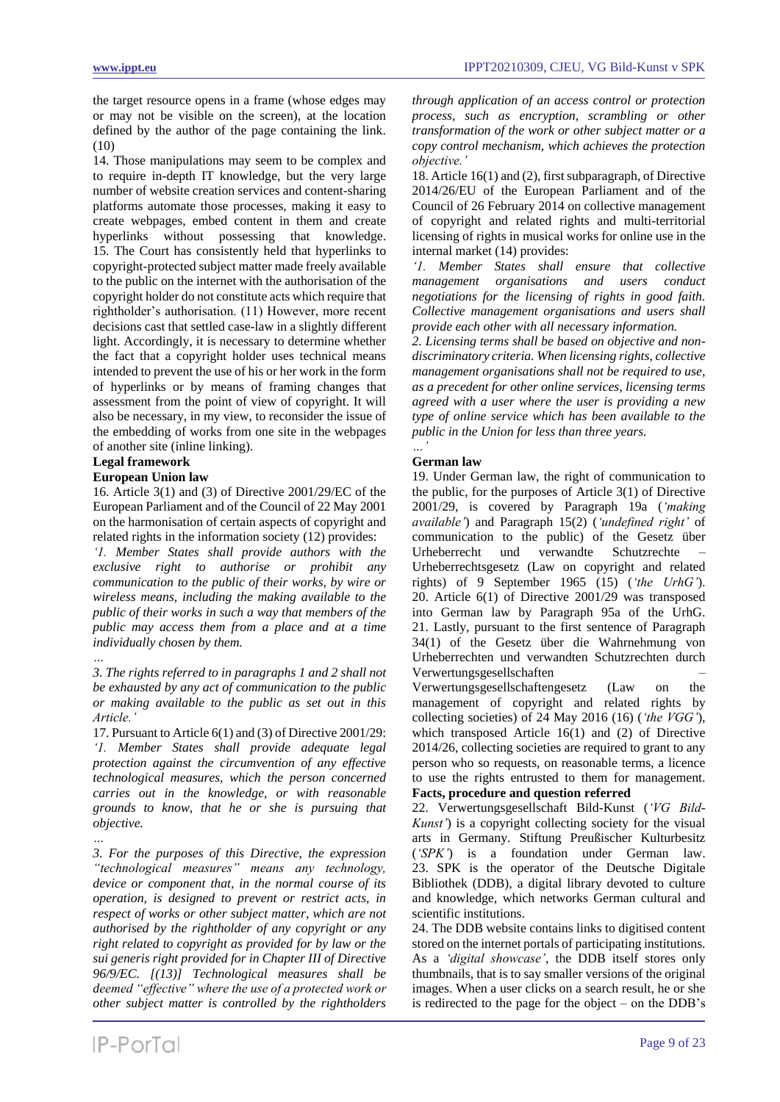the target resource opens in a frame (whose edges may or may not be visible on the screen), at the location defined by the author of the page containing the link. (10)

14. Those manipulations may seem to be complex and to require in-depth IT knowledge, but the very large number of website creation services and content-sharing platforms automate those processes, making it easy to create webpages, embed content in them and create hyperlinks without possessing that knowledge. 15. The Court has consistently held that hyperlinks to copyright-protected subject matter made freely available to the public on the internet with the authorisation of the copyright holder do not constitute acts which require that rightholder's authorisation. (11) However, more recent decisions cast that settled case-law in a slightly different light. Accordingly, it is necessary to determine whether the fact that a copyright holder uses technical means intended to prevent the use of his or her work in the form of hyperlinks or by means of framing changes that assessment from the point of view of copyright. It will also be necessary, in my view, to reconsider the issue of the embedding of works from one site in the webpages of another site (inline linking).

## **Legal framework**

## **European Union law**

16. Article 3(1) and (3) of Directive 2001/29/EC of the European Parliament and of the Council of 22 May 2001 on the harmonisation of certain aspects of copyright and related rights in the information society (12) provides:

*'1. Member States shall provide authors with the exclusive right to authorise or prohibit any communication to the public of their works, by wire or wireless means, including the making available to the public of their works in such a way that members of the public may access them from a place and at a time individually chosen by them.*

*… 3. The rights referred to in paragraphs 1 and 2 shall not be exhausted by any act of communication to the public or making available to the public as set out in this Article.'*

17. Pursuant to Article 6(1) and (3) of Directive 2001/29: *'1. Member States shall provide adequate legal protection against the circumvention of any effective technological measures, which the person concerned carries out in the knowledge, or with reasonable grounds to know, that he or she is pursuing that objective.*

*… 3. For the purposes of this Directive, the expression "technological measures" means any technology, device or component that, in the normal course of its operation, is designed to prevent or restrict acts, in respect of works or other subject matter, which are not authorised by the rightholder of any copyright or any right related to copyright as provided for by law or the sui generis right provided for in Chapter III of Directive 96/9/EC. [(13)] Technological measures shall be deemed "effective" where the use of a protected work or other subject matter is controlled by the rightholders*  *through application of an access control or protection process, such as encryption, scrambling or other transformation of the work or other subject matter or a copy control mechanism, which achieves the protection objective.'*

18. Article 16(1) and (2), first subparagraph, of Directive 2014/26/EU of the European Parliament and of the Council of 26 February 2014 on collective management of copyright and related rights and multi-territorial licensing of rights in musical works for online use in the internal market (14) provides:

*'1. Member States shall ensure that collective management organisations and users conduct negotiations for the licensing of rights in good faith. Collective management organisations and users shall provide each other with all necessary information.*

*2. Licensing terms shall be based on objective and nondiscriminatory criteria. When licensing rights, collective management organisations shall not be required to use, as a precedent for other online services, licensing terms agreed with a user where the user is providing a new type of online service which has been available to the public in the Union for less than three years. …'*

## **German law**

19. Under German law, the right of communication to the public, for the purposes of Article 3(1) of Directive 2001/29, is covered by Paragraph 19a (*'making available'*) and Paragraph 15(2) (*'undefined right'* of communication to the public) of the Gesetz über Urheberrecht und verwandte Schutzrechte – Urheberrechtsgesetz (Law on copyright and related rights) of 9 September 1965 (15) (*'the UrhG'*). 20. Article 6(1) of Directive 2001/29 was transposed into German law by Paragraph 95a of the UrhG. 21. Lastly, pursuant to the first sentence of Paragraph 34(1) of the Gesetz über die Wahrnehmung von Urheberrechten und verwandten Schutzrechten durch Verwertungsgesellschaften –

Verwertungsgesellschaftengesetz (Law on the management of copyright and related rights by collecting societies) of 24 May 2016 (16) (*'the VGG'*), which transposed Article 16(1) and (2) of Directive 2014/26, collecting societies are required to grant to any person who so requests, on reasonable terms, a licence to use the rights entrusted to them for management.

## **Facts, procedure and question referred**

22. Verwertungsgesellschaft Bild-Kunst (*'VG Bild-Kunst'*) is a copyright collecting society for the visual arts in Germany. Stiftung Preußischer Kulturbesitz (*'SPK'*) is a foundation under German law. 23. SPK is the operator of the Deutsche Digitale Bibliothek (DDB), a digital library devoted to culture and knowledge, which networks German cultural and scientific institutions.

24. The DDB website contains links to digitised content stored on the internet portals of participating institutions. As a *'digital showcase'*, the DDB itself stores only thumbnails, that is to say smaller versions of the original images. When a user clicks on a search result, he or she is redirected to the page for the object – on the DDB's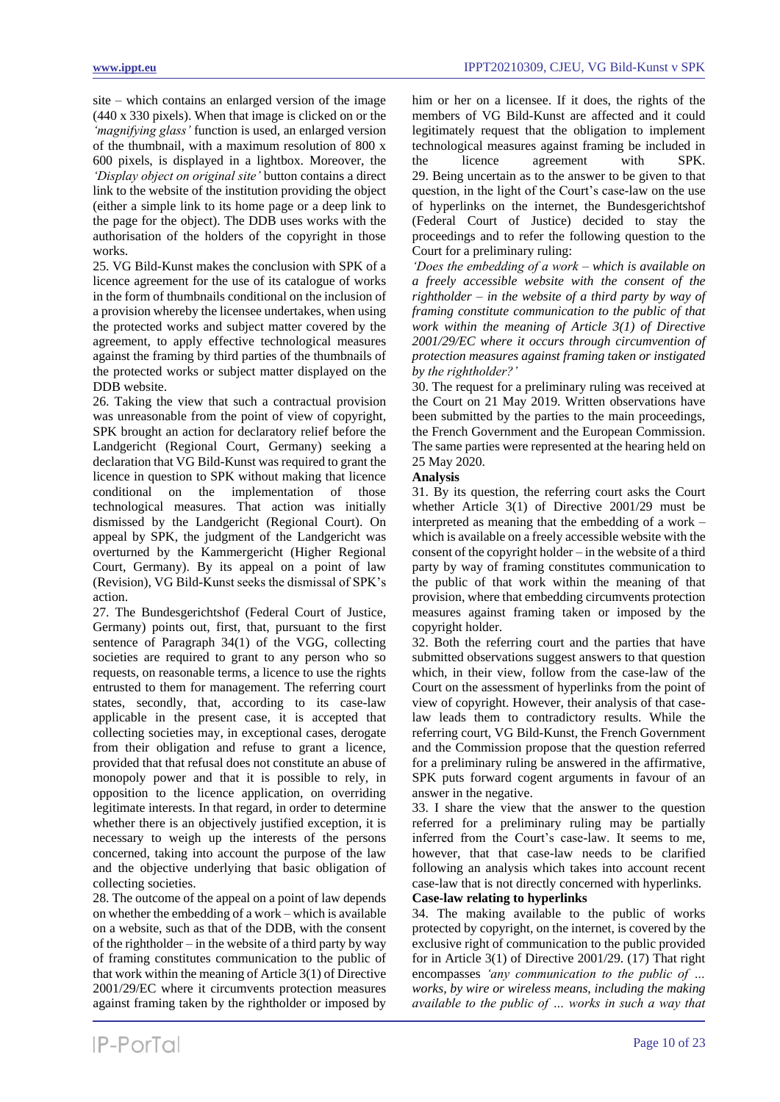site – which contains an enlarged version of the image (440 x 330 pixels). When that image is clicked on or the *'magnifying glass'* function is used, an enlarged version of the thumbnail, with a maximum resolution of 800 x 600 pixels, is displayed in a lightbox. Moreover, the *'Display object on original site'* button contains a direct link to the website of the institution providing the object (either a simple link to its home page or a deep link to the page for the object). The DDB uses works with the authorisation of the holders of the copyright in those works.

25. VG Bild-Kunst makes the conclusion with SPK of a licence agreement for the use of its catalogue of works in the form of thumbnails conditional on the inclusion of a provision whereby the licensee undertakes, when using the protected works and subject matter covered by the agreement, to apply effective technological measures against the framing by third parties of the thumbnails of the protected works or subject matter displayed on the DDB website.

26. Taking the view that such a contractual provision was unreasonable from the point of view of copyright, SPK brought an action for declaratory relief before the Landgericht (Regional Court, Germany) seeking a declaration that VG Bild-Kunst was required to grant the licence in question to SPK without making that licence conditional on the implementation of those technological measures. That action was initially dismissed by the Landgericht (Regional Court). On appeal by SPK, the judgment of the Landgericht was overturned by the Kammergericht (Higher Regional Court, Germany). By its appeal on a point of law (Revision), VG Bild-Kunst seeks the dismissal of SPK's action.

27. The Bundesgerichtshof (Federal Court of Justice, Germany) points out, first, that, pursuant to the first sentence of Paragraph 34(1) of the VGG, collecting societies are required to grant to any person who so requests, on reasonable terms, a licence to use the rights entrusted to them for management. The referring court states, secondly, that, according to its case-law applicable in the present case, it is accepted that collecting societies may, in exceptional cases, derogate from their obligation and refuse to grant a licence, provided that that refusal does not constitute an abuse of monopoly power and that it is possible to rely, in opposition to the licence application, on overriding legitimate interests. In that regard, in order to determine whether there is an objectively justified exception, it is necessary to weigh up the interests of the persons concerned, taking into account the purpose of the law and the objective underlying that basic obligation of collecting societies.

28. The outcome of the appeal on a point of law depends on whether the embedding of a work – which is available on a website, such as that of the DDB, with the consent of the rightholder – in the website of a third party by way of framing constitutes communication to the public of that work within the meaning of Article 3(1) of Directive 2001/29/EC where it circumvents protection measures against framing taken by the rightholder or imposed by

him or her on a licensee. If it does, the rights of the members of VG Bild-Kunst are affected and it could legitimately request that the obligation to implement technological measures against framing be included in the licence agreement with SPK. 29. Being uncertain as to the answer to be given to that question, in the light of the Court's case-law on the use of hyperlinks on the internet, the Bundesgerichtshof (Federal Court of Justice) decided to stay the proceedings and to refer the following question to the Court for a preliminary ruling:

*'Does the embedding of a work – which is available on a freely accessible website with the consent of the rightholder – in the website of a third party by way of framing constitute communication to the public of that work within the meaning of Article 3(1) of Directive 2001/29/EC where it occurs through circumvention of protection measures against framing taken or instigated by the rightholder?'*

30. The request for a preliminary ruling was received at the Court on 21 May 2019. Written observations have been submitted by the parties to the main proceedings, the French Government and the European Commission. The same parties were represented at the hearing held on 25 May 2020.

## **Analysis**

31. By its question, the referring court asks the Court whether Article 3(1) of Directive 2001/29 must be interpreted as meaning that the embedding of a work – which is available on a freely accessible website with the consent of the copyright holder – in the website of a third party by way of framing constitutes communication to the public of that work within the meaning of that provision, where that embedding circumvents protection measures against framing taken or imposed by the copyright holder.

32. Both the referring court and the parties that have submitted observations suggest answers to that question which, in their view, follow from the case-law of the Court on the assessment of hyperlinks from the point of view of copyright. However, their analysis of that caselaw leads them to contradictory results. While the referring court, VG Bild-Kunst, the French Government and the Commission propose that the question referred for a preliminary ruling be answered in the affirmative, SPK puts forward cogent arguments in favour of an answer in the negative.

33. I share the view that the answer to the question referred for a preliminary ruling may be partially inferred from the Court's case-law. It seems to me, however, that that case-law needs to be clarified following an analysis which takes into account recent case-law that is not directly concerned with hyperlinks.

## **Case-law relating to hyperlinks**

34. The making available to the public of works protected by copyright, on the internet, is covered by the exclusive right of communication to the public provided for in Article 3(1) of Directive 2001/29. (17) That right encompasses *'any communication to the public of … works, by wire or wireless means, including the making available to the public of … works in such a way that*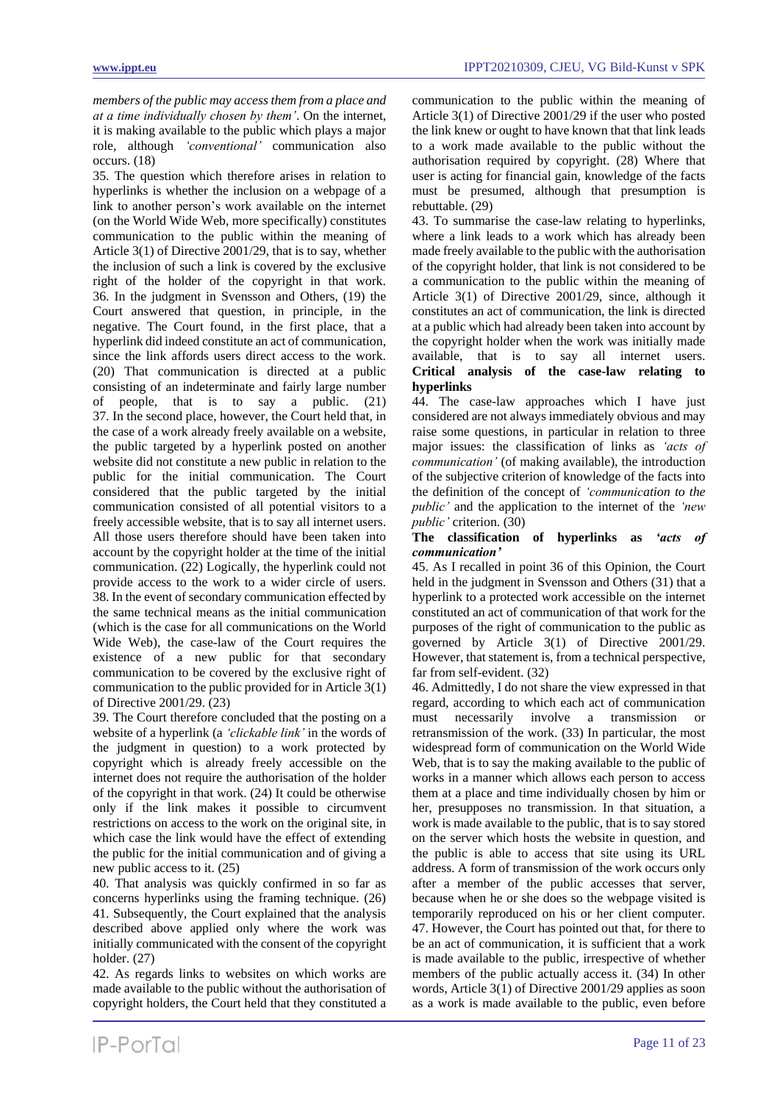*members of the public may access them from a place and at a time individually chosen by them'*. On the internet, it is making available to the public which plays a major role, although *'conventional'* communication also occurs. (18)

35. The question which therefore arises in relation to hyperlinks is whether the inclusion on a webpage of a link to another person's work available on the internet (on the World Wide Web, more specifically) constitutes communication to the public within the meaning of Article 3(1) of Directive 2001/29, that is to say, whether the inclusion of such a link is covered by the exclusive right of the holder of the copyright in that work. 36. In the judgment in Svensson and Others, (19) the Court answered that question, in principle, in the negative. The Court found, in the first place, that a hyperlink did indeed constitute an act of communication, since the link affords users direct access to the work. (20) That communication is directed at a public consisting of an indeterminate and fairly large number of people, that is to say a public. (21) 37. In the second place, however, the Court held that, in the case of a work already freely available on a website, the public targeted by a hyperlink posted on another website did not constitute a new public in relation to the public for the initial communication. The Court considered that the public targeted by the initial communication consisted of all potential visitors to a freely accessible website, that is to say all internet users. All those users therefore should have been taken into account by the copyright holder at the time of the initial communication. (22) Logically, the hyperlink could not provide access to the work to a wider circle of users. 38. In the event of secondary communication effected by the same technical means as the initial communication (which is the case for all communications on the World Wide Web), the case-law of the Court requires the existence of a new public for that secondary communication to be covered by the exclusive right of communication to the public provided for in Article 3(1) of Directive 2001/29. (23)

39. The Court therefore concluded that the posting on a website of a hyperlink (a *'clickable link'* in the words of the judgment in question) to a work protected by copyright which is already freely accessible on the internet does not require the authorisation of the holder of the copyright in that work. (24) It could be otherwise only if the link makes it possible to circumvent restrictions on access to the work on the original site, in which case the link would have the effect of extending the public for the initial communication and of giving a new public access to it. (25)

40. That analysis was quickly confirmed in so far as concerns hyperlinks using the framing technique. (26) 41. Subsequently, the Court explained that the analysis described above applied only where the work was initially communicated with the consent of the copyright holder. (27)

42. As regards links to websites on which works are made available to the public without the authorisation of copyright holders, the Court held that they constituted a communication to the public within the meaning of Article 3(1) of Directive 2001/29 if the user who posted the link knew or ought to have known that that link leads to a work made available to the public without the authorisation required by copyright. (28) Where that user is acting for financial gain, knowledge of the facts must be presumed, although that presumption is rebuttable. (29)

43. To summarise the case-law relating to hyperlinks, where a link leads to a work which has already been made freely available to the public with the authorisation of the copyright holder, that link is not considered to be a communication to the public within the meaning of Article 3(1) of Directive 2001/29, since, although it constitutes an act of communication, the link is directed at a public which had already been taken into account by the copyright holder when the work was initially made available, that is to say all internet users. **Critical analysis of the case-law relating to hyperlinks**

44. The case-law approaches which I have just considered are not always immediately obvious and may raise some questions, in particular in relation to three major issues: the classification of links as *'acts of communication'* (of making available), the introduction of the subjective criterion of knowledge of the facts into the definition of the concept of *'communication to the public'* and the application to the internet of the *'new public'* criterion. (30)

## **The classification of hyperlinks as** *'acts of communication'*

45. As I recalled in point 36 of this Opinion, the Court held in the judgment in Svensson and Others (31) that a hyperlink to a protected work accessible on the internet constituted an act of communication of that work for the purposes of the right of communication to the public as governed by Article 3(1) of Directive 2001/29. However, that statement is, from a technical perspective, far from self-evident. (32)

46. Admittedly, I do not share the view expressed in that regard, according to which each act of communication must necessarily involve a transmission or retransmission of the work. (33) In particular, the most widespread form of communication on the World Wide Web, that is to say the making available to the public of works in a manner which allows each person to access them at a place and time individually chosen by him or her, presupposes no transmission. In that situation, a work is made available to the public, that is to say stored on the server which hosts the website in question, and the public is able to access that site using its URL address. A form of transmission of the work occurs only after a member of the public accesses that server, because when he or she does so the webpage visited is temporarily reproduced on his or her client computer. 47. However, the Court has pointed out that, for there to be an act of communication, it is sufficient that a work is made available to the public, irrespective of whether members of the public actually access it. (34) In other words, Article 3(1) of Directive 2001/29 applies as soon as a work is made available to the public, even before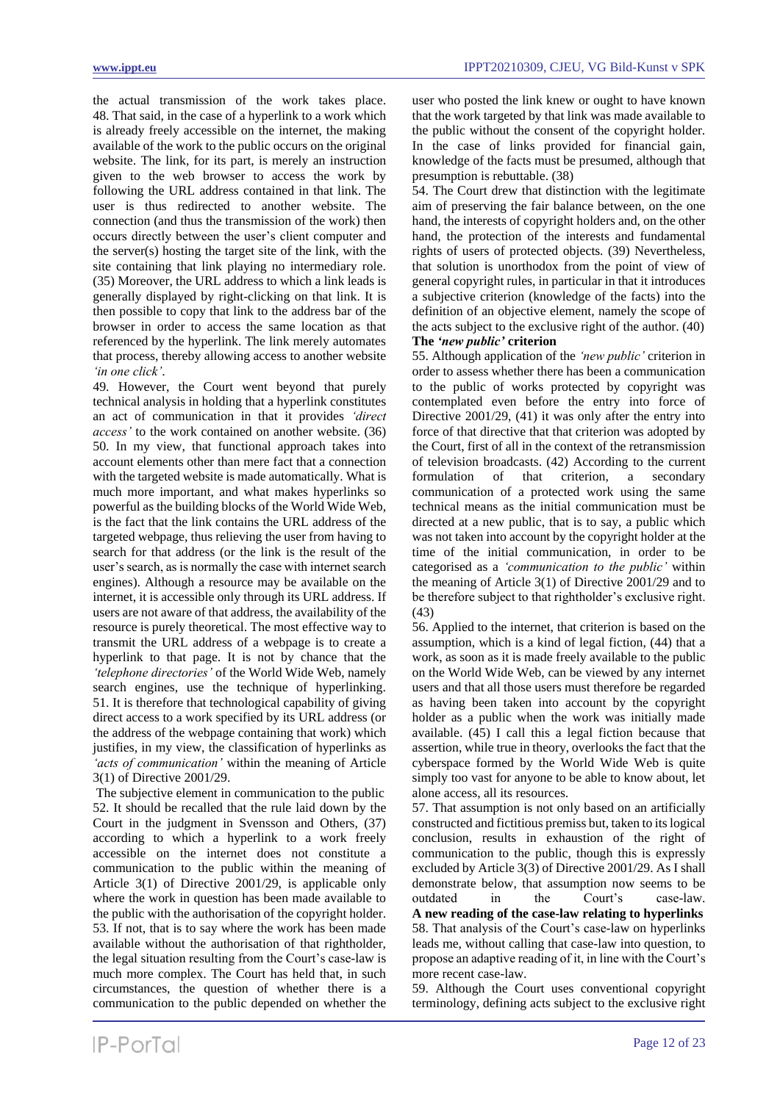the actual transmission of the work takes place. 48. That said, in the case of a hyperlink to a work which is already freely accessible on the internet, the making available of the work to the public occurs on the original website. The link, for its part, is merely an instruction given to the web browser to access the work by following the URL address contained in that link. The user is thus redirected to another website. The connection (and thus the transmission of the work) then occurs directly between the user's client computer and the server(s) hosting the target site of the link, with the site containing that link playing no intermediary role. (35) Moreover, the URL address to which a link leads is generally displayed by right-clicking on that link. It is then possible to copy that link to the address bar of the browser in order to access the same location as that referenced by the hyperlink. The link merely automates that process, thereby allowing access to another website *'in one click'*.

49. However, the Court went beyond that purely technical analysis in holding that a hyperlink constitutes an act of communication in that it provides *'direct access'* to the work contained on another website. (36) 50. In my view, that functional approach takes into account elements other than mere fact that a connection with the targeted website is made automatically. What is much more important, and what makes hyperlinks so powerful as the building blocks of the World Wide Web, is the fact that the link contains the URL address of the targeted webpage, thus relieving the user from having to search for that address (or the link is the result of the user's search, as is normally the case with internet search engines). Although a resource may be available on the internet, it is accessible only through its URL address. If users are not aware of that address, the availability of the resource is purely theoretical. The most effective way to transmit the URL address of a webpage is to create a hyperlink to that page. It is not by chance that the *'telephone directories'* of the World Wide Web, namely search engines, use the technique of hyperlinking. 51. It is therefore that technological capability of giving direct access to a work specified by its URL address (or the address of the webpage containing that work) which justifies, in my view, the classification of hyperlinks as *'acts of communication'* within the meaning of Article 3(1) of Directive 2001/29.

The subjective element in communication to the public 52. It should be recalled that the rule laid down by the Court in the judgment in Svensson and Others, (37) according to which a hyperlink to a work freely accessible on the internet does not constitute a communication to the public within the meaning of Article 3(1) of Directive 2001/29, is applicable only where the work in question has been made available to the public with the authorisation of the copyright holder. 53. If not, that is to say where the work has been made available without the authorisation of that rightholder, the legal situation resulting from the Court's case-law is much more complex. The Court has held that, in such circumstances, the question of whether there is a communication to the public depended on whether the user who posted the link knew or ought to have known that the work targeted by that link was made available to the public without the consent of the copyright holder. In the case of links provided for financial gain, knowledge of the facts must be presumed, although that presumption is rebuttable. (38)

54. The Court drew that distinction with the legitimate aim of preserving the fair balance between, on the one hand, the interests of copyright holders and, on the other hand, the protection of the interests and fundamental rights of users of protected objects. (39) Nevertheless, that solution is unorthodox from the point of view of general copyright rules, in particular in that it introduces a subjective criterion (knowledge of the facts) into the definition of an objective element, namely the scope of the acts subject to the exclusive right of the author. (40) **The** *'new public'* **criterion**

55. Although application of the *'new public'* criterion in order to assess whether there has been a communication to the public of works protected by copyright was contemplated even before the entry into force of Directive 2001/29, (41) it was only after the entry into force of that directive that that criterion was adopted by the Court, first of all in the context of the retransmission of television broadcasts. (42) According to the current formulation of that criterion, a secondary communication of a protected work using the same technical means as the initial communication must be directed at a new public, that is to say, a public which was not taken into account by the copyright holder at the time of the initial communication, in order to be categorised as a *'communication to the public'* within the meaning of Article 3(1) of Directive 2001/29 and to be therefore subject to that rightholder's exclusive right. (43)

56. Applied to the internet, that criterion is based on the assumption, which is a kind of legal fiction, (44) that a work, as soon as it is made freely available to the public on the World Wide Web, can be viewed by any internet users and that all those users must therefore be regarded as having been taken into account by the copyright holder as a public when the work was initially made available. (45) I call this a legal fiction because that assertion, while true in theory, overlooks the fact that the cyberspace formed by the World Wide Web is quite simply too vast for anyone to be able to know about, let alone access, all its resources.

57. That assumption is not only based on an artificially constructed and fictitious premiss but, taken to its logical conclusion, results in exhaustion of the right of communication to the public, though this is expressly excluded by Article 3(3) of Directive 2001/29. As I shall demonstrate below, that assumption now seems to be outdated in the Court's case-law. **A new reading of the case-law relating to hyperlinks** 58. That analysis of the Court's case-law on hyperlinks leads me, without calling that case-law into question, to propose an adaptive reading of it, in line with the Court's more recent case-law.

59. Although the Court uses conventional copyright terminology, defining acts subject to the exclusive right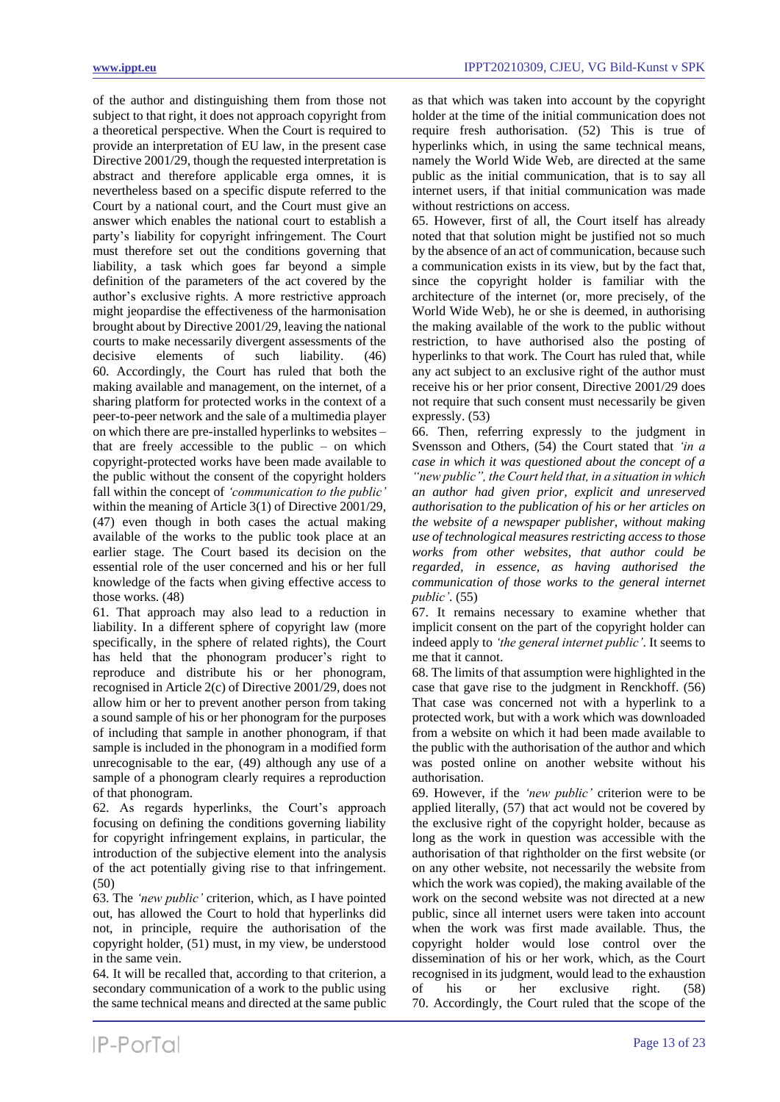of the author and distinguishing them from those not subject to that right, it does not approach copyright from a theoretical perspective. When the Court is required to provide an interpretation of EU law, in the present case Directive 2001/29, though the requested interpretation is abstract and therefore applicable erga omnes, it is nevertheless based on a specific dispute referred to the Court by a national court, and the Court must give an answer which enables the national court to establish a party's liability for copyright infringement. The Court must therefore set out the conditions governing that liability, a task which goes far beyond a simple definition of the parameters of the act covered by the author's exclusive rights. A more restrictive approach might jeopardise the effectiveness of the harmonisation brought about by Directive 2001/29, leaving the national courts to make necessarily divergent assessments of the decisive elements of such liability. (46) 60. Accordingly, the Court has ruled that both the making available and management, on the internet, of a sharing platform for protected works in the context of a peer-to-peer network and the sale of a multimedia player on which there are pre-installed hyperlinks to websites – that are freely accessible to the public  $-$  on which copyright-protected works have been made available to the public without the consent of the copyright holders fall within the concept of *'communication to the public'* within the meaning of Article 3(1) of Directive 2001/29, (47) even though in both cases the actual making available of the works to the public took place at an earlier stage. The Court based its decision on the essential role of the user concerned and his or her full knowledge of the facts when giving effective access to those works. (48)

61. That approach may also lead to a reduction in liability. In a different sphere of copyright law (more specifically, in the sphere of related rights), the Court has held that the phonogram producer's right to reproduce and distribute his or her phonogram, recognised in Article 2(c) of Directive 2001/29, does not allow him or her to prevent another person from taking a sound sample of his or her phonogram for the purposes of including that sample in another phonogram, if that sample is included in the phonogram in a modified form unrecognisable to the ear, (49) although any use of a sample of a phonogram clearly requires a reproduction of that phonogram.

62. As regards hyperlinks, the Court's approach focusing on defining the conditions governing liability for copyright infringement explains, in particular, the introduction of the subjective element into the analysis of the act potentially giving rise to that infringement. (50)

63. The *'new public'* criterion, which, as I have pointed out, has allowed the Court to hold that hyperlinks did not, in principle, require the authorisation of the copyright holder, (51) must, in my view, be understood in the same vein.

64. It will be recalled that, according to that criterion, a secondary communication of a work to the public using the same technical means and directed at the same public as that which was taken into account by the copyright holder at the time of the initial communication does not require fresh authorisation. (52) This is true of hyperlinks which, in using the same technical means, namely the World Wide Web, are directed at the same public as the initial communication, that is to say all internet users, if that initial communication was made without restrictions on access.

65. However, first of all, the Court itself has already noted that that solution might be justified not so much by the absence of an act of communication, because such a communication exists in its view, but by the fact that, since the copyright holder is familiar with the architecture of the internet (or, more precisely, of the World Wide Web), he or she is deemed, in authorising the making available of the work to the public without restriction, to have authorised also the posting of hyperlinks to that work. The Court has ruled that, while any act subject to an exclusive right of the author must receive his or her prior consent, Directive 2001/29 does not require that such consent must necessarily be given expressly. (53)

66. Then, referring expressly to the judgment in Svensson and Others, (54) the Court stated that *'in a case in which it was questioned about the concept of a "new public", the Court held that, in a situation in which an author had given prior, explicit and unreserved authorisation to the publication of his or her articles on the website of a newspaper publisher, without making use of technological measures restricting access to those works from other websites, that author could be regarded, in essence, as having authorised the communication of those works to the general internet public'*. (55)

67. It remains necessary to examine whether that implicit consent on the part of the copyright holder can indeed apply to *'the general internet public'*. It seems to me that it cannot.

68. The limits of that assumption were highlighted in the case that gave rise to the judgment in Renckhoff. (56) That case was concerned not with a hyperlink to a protected work, but with a work which was downloaded from a website on which it had been made available to the public with the authorisation of the author and which was posted online on another website without his authorisation.

69. However, if the *'new public'* criterion were to be applied literally, (57) that act would not be covered by the exclusive right of the copyright holder, because as long as the work in question was accessible with the authorisation of that rightholder on the first website (or on any other website, not necessarily the website from which the work was copied), the making available of the work on the second website was not directed at a new public, since all internet users were taken into account when the work was first made available. Thus, the copyright holder would lose control over the dissemination of his or her work, which, as the Court recognised in its judgment, would lead to the exhaustion of his or her exclusive right. (58) 70. Accordingly, the Court ruled that the scope of the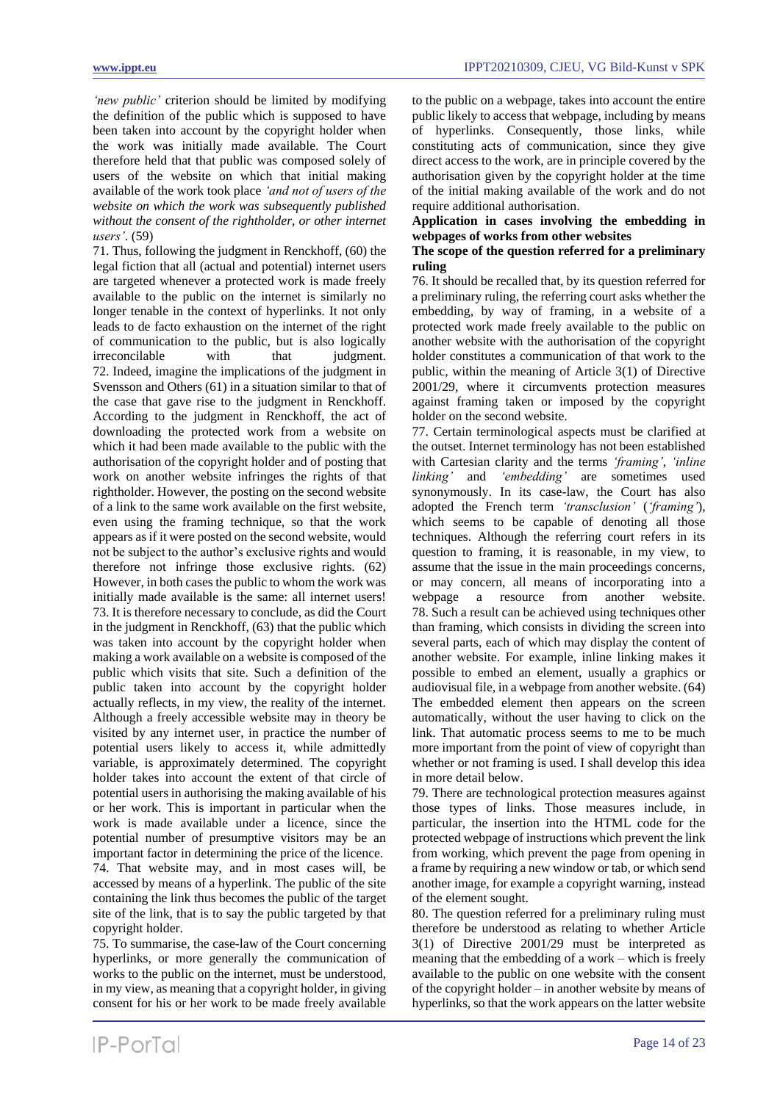*'new public'* criterion should be limited by modifying the definition of the public which is supposed to have been taken into account by the copyright holder when the work was initially made available. The Court therefore held that that public was composed solely of users of the website on which that initial making available of the work took place *'and not of users of the website on which the work was subsequently published without the consent of the rightholder, or other internet users'*. (59)

71. Thus, following the judgment in Renckhoff, (60) the legal fiction that all (actual and potential) internet users are targeted whenever a protected work is made freely available to the public on the internet is similarly no longer tenable in the context of hyperlinks. It not only leads to de facto exhaustion on the internet of the right of communication to the public, but is also logically irreconcilable with that judgment. 72. Indeed, imagine the implications of the judgment in Svensson and Others (61) in a situation similar to that of the case that gave rise to the judgment in Renckhoff. According to the judgment in Renckhoff, the act of downloading the protected work from a website on which it had been made available to the public with the authorisation of the copyright holder and of posting that work on another website infringes the rights of that rightholder. However, the posting on the second website of a link to the same work available on the first website, even using the framing technique, so that the work appears as if it were posted on the second website, would not be subject to the author's exclusive rights and would therefore not infringe those exclusive rights. (62) However, in both cases the public to whom the work was initially made available is the same: all internet users! 73. It is therefore necessary to conclude, as did the Court in the judgment in Renckhoff, (63) that the public which was taken into account by the copyright holder when making a work available on a website is composed of the public which visits that site. Such a definition of the public taken into account by the copyright holder actually reflects, in my view, the reality of the internet. Although a freely accessible website may in theory be visited by any internet user, in practice the number of potential users likely to access it, while admittedly variable, is approximately determined. The copyright holder takes into account the extent of that circle of potential users in authorising the making available of his or her work. This is important in particular when the work is made available under a licence, since the potential number of presumptive visitors may be an important factor in determining the price of the licence. 74. That website may, and in most cases will, be accessed by means of a hyperlink. The public of the site containing the link thus becomes the public of the target site of the link, that is to say the public targeted by that copyright holder.

75. To summarise, the case-law of the Court concerning hyperlinks, or more generally the communication of works to the public on the internet, must be understood, in my view, as meaning that a copyright holder, in giving consent for his or her work to be made freely available to the public on a webpage, takes into account the entire public likely to access that webpage, including by means of hyperlinks. Consequently, those links, while constituting acts of communication, since they give direct access to the work, are in principle covered by the authorisation given by the copyright holder at the time of the initial making available of the work and do not require additional authorisation.

## **Application in cases involving the embedding in webpages of works from other websites**

## **The scope of the question referred for a preliminary ruling**

76. It should be recalled that, by its question referred for a preliminary ruling, the referring court asks whether the embedding, by way of framing, in a website of a protected work made freely available to the public on another website with the authorisation of the copyright holder constitutes a communication of that work to the public, within the meaning of Article 3(1) of Directive 2001/29, where it circumvents protection measures against framing taken or imposed by the copyright holder on the second website.

77. Certain terminological aspects must be clarified at the outset. Internet terminology has not been established with Cartesian clarity and the terms *'framing'*, *'inline linking'* and *'embedding'* are sometimes used synonymously. In its case-law, the Court has also adopted the French term *'transclusion'* (*'framing'*), which seems to be capable of denoting all those techniques. Although the referring court refers in its question to framing, it is reasonable, in my view, to assume that the issue in the main proceedings concerns, or may concern, all means of incorporating into a webpage a resource from another website. 78. Such a result can be achieved using techniques other than framing, which consists in dividing the screen into several parts, each of which may display the content of another website. For example, inline linking makes it possible to embed an element, usually a graphics or audiovisual file, in a webpage from another website. (64) The embedded element then appears on the screen automatically, without the user having to click on the link. That automatic process seems to me to be much more important from the point of view of copyright than whether or not framing is used. I shall develop this idea in more detail below.

79. There are technological protection measures against those types of links. Those measures include, in particular, the insertion into the HTML code for the protected webpage of instructions which prevent the link from working, which prevent the page from opening in a frame by requiring a new window or tab, or which send another image, for example a copyright warning, instead of the element sought.

80. The question referred for a preliminary ruling must therefore be understood as relating to whether Article 3(1) of Directive 2001/29 must be interpreted as meaning that the embedding of a work – which is freely available to the public on one website with the consent of the copyright holder – in another website by means of hyperlinks, so that the work appears on the latter website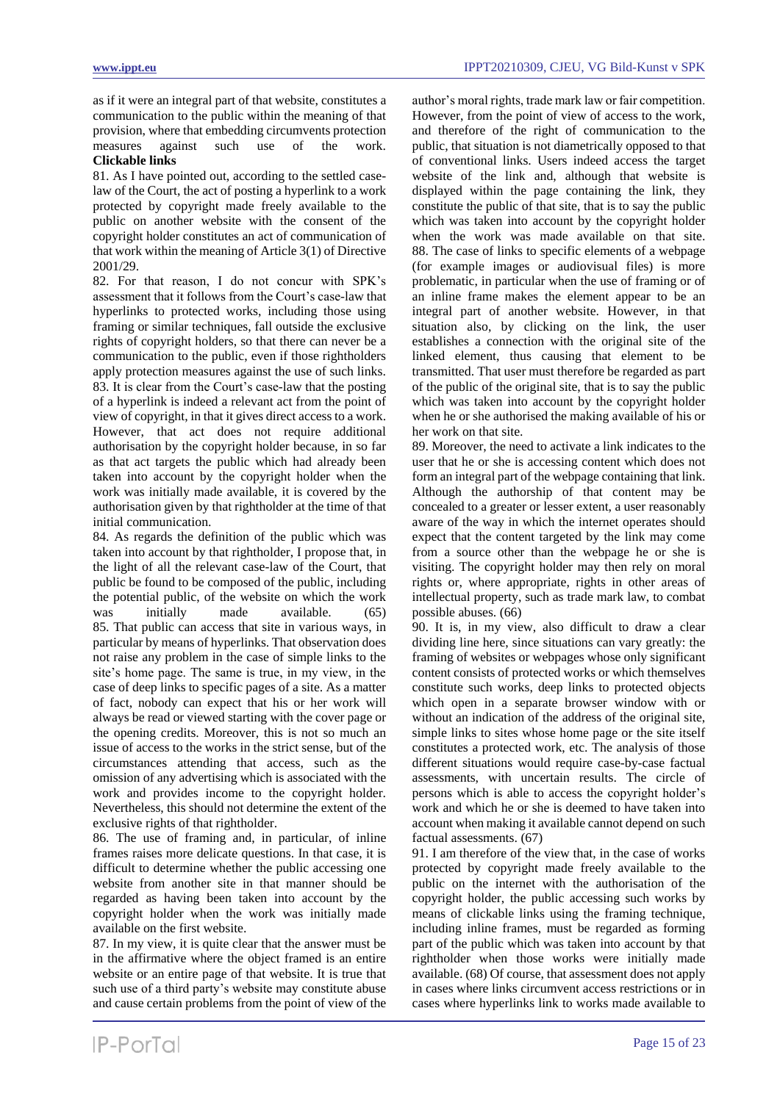as if it were an integral part of that website, constitutes a communication to the public within the meaning of that provision, where that embedding circumvents protection measures against such use of the work. **Clickable links**

81. As I have pointed out, according to the settled caselaw of the Court, the act of posting a hyperlink to a work protected by copyright made freely available to the public on another website with the consent of the copyright holder constitutes an act of communication of that work within the meaning of Article 3(1) of Directive 2001/29.

82. For that reason, I do not concur with SPK's assessment that it follows from the Court's case-law that hyperlinks to protected works, including those using framing or similar techniques, fall outside the exclusive rights of copyright holders, so that there can never be a communication to the public, even if those rightholders apply protection measures against the use of such links. 83. It is clear from the Court's case-law that the posting of a hyperlink is indeed a relevant act from the point of view of copyright, in that it gives direct access to a work. However, that act does not require additional authorisation by the copyright holder because, in so far as that act targets the public which had already been taken into account by the copyright holder when the work was initially made available, it is covered by the authorisation given by that rightholder at the time of that initial communication.

84. As regards the definition of the public which was taken into account by that rightholder, I propose that, in the light of all the relevant case-law of the Court, that public be found to be composed of the public, including the potential public, of the website on which the work was initially made available. (65) 85. That public can access that site in various ways, in particular by means of hyperlinks. That observation does not raise any problem in the case of simple links to the site's home page. The same is true, in my view, in the case of deep links to specific pages of a site. As a matter of fact, nobody can expect that his or her work will always be read or viewed starting with the cover page or the opening credits. Moreover, this is not so much an issue of access to the works in the strict sense, but of the circumstances attending that access, such as the omission of any advertising which is associated with the work and provides income to the copyright holder. Nevertheless, this should not determine the extent of the exclusive rights of that rightholder.

86. The use of framing and, in particular, of inline frames raises more delicate questions. In that case, it is difficult to determine whether the public accessing one website from another site in that manner should be regarded as having been taken into account by the copyright holder when the work was initially made available on the first website.

87. In my view, it is quite clear that the answer must be in the affirmative where the object framed is an entire website or an entire page of that website. It is true that such use of a third party's website may constitute abuse and cause certain problems from the point of view of the author's moral rights, trade mark law or fair competition. However, from the point of view of access to the work, and therefore of the right of communication to the public, that situation is not diametrically opposed to that of conventional links. Users indeed access the target website of the link and, although that website is displayed within the page containing the link, they constitute the public of that site, that is to say the public which was taken into account by the copyright holder when the work was made available on that site. 88. The case of links to specific elements of a webpage (for example images or audiovisual files) is more problematic, in particular when the use of framing or of an inline frame makes the element appear to be an integral part of another website. However, in that situation also, by clicking on the link, the user establishes a connection with the original site of the linked element, thus causing that element to be transmitted. That user must therefore be regarded as part of the public of the original site, that is to say the public which was taken into account by the copyright holder when he or she authorised the making available of his or her work on that site.

89. Moreover, the need to activate a link indicates to the user that he or she is accessing content which does not form an integral part of the webpage containing that link. Although the authorship of that content may be concealed to a greater or lesser extent, a user reasonably aware of the way in which the internet operates should expect that the content targeted by the link may come from a source other than the webpage he or she is visiting. The copyright holder may then rely on moral rights or, where appropriate, rights in other areas of intellectual property, such as trade mark law, to combat possible abuses. (66)

90. It is, in my view, also difficult to draw a clear dividing line here, since situations can vary greatly: the framing of websites or webpages whose only significant content consists of protected works or which themselves constitute such works, deep links to protected objects which open in a separate browser window with or without an indication of the address of the original site, simple links to sites whose home page or the site itself constitutes a protected work, etc. The analysis of those different situations would require case-by-case factual assessments, with uncertain results. The circle of persons which is able to access the copyright holder's work and which he or she is deemed to have taken into account when making it available cannot depend on such factual assessments. (67)

91. I am therefore of the view that, in the case of works protected by copyright made freely available to the public on the internet with the authorisation of the copyright holder, the public accessing such works by means of clickable links using the framing technique, including inline frames, must be regarded as forming part of the public which was taken into account by that rightholder when those works were initially made available. (68) Of course, that assessment does not apply in cases where links circumvent access restrictions or in cases where hyperlinks link to works made available to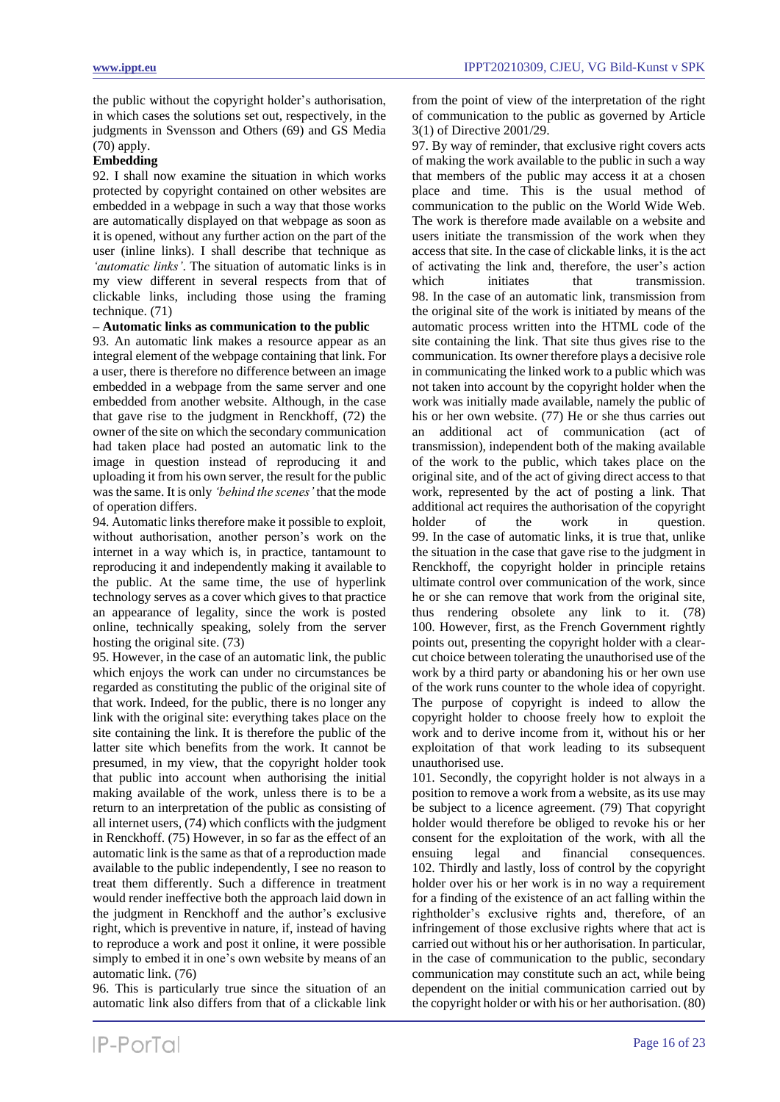the public without the copyright holder's authorisation, in which cases the solutions set out, respectively, in the judgments in Svensson and Others (69) and GS Media (70) apply.

## **Embedding**

92. I shall now examine the situation in which works protected by copyright contained on other websites are embedded in a webpage in such a way that those works are automatically displayed on that webpage as soon as it is opened, without any further action on the part of the user (inline links). I shall describe that technique as *'automatic links'*. The situation of automatic links is in my view different in several respects from that of clickable links, including those using the framing technique. (71)

## **– Automatic links as communication to the public**

93. An automatic link makes a resource appear as an integral element of the webpage containing that link. For a user, there is therefore no difference between an image embedded in a webpage from the same server and one embedded from another website. Although, in the case that gave rise to the judgment in Renckhoff, (72) the owner of the site on which the secondary communication had taken place had posted an automatic link to the image in question instead of reproducing it and uploading it from his own server, the result for the public was the same. It is only *'behind the scenes'* that the mode of operation differs.

94. Automatic links therefore make it possible to exploit, without authorisation, another person's work on the internet in a way which is, in practice, tantamount to reproducing it and independently making it available to the public. At the same time, the use of hyperlink technology serves as a cover which gives to that practice an appearance of legality, since the work is posted online, technically speaking, solely from the server hosting the original site. (73)

95. However, in the case of an automatic link, the public which enjoys the work can under no circumstances be regarded as constituting the public of the original site of that work. Indeed, for the public, there is no longer any link with the original site: everything takes place on the site containing the link. It is therefore the public of the latter site which benefits from the work. It cannot be presumed, in my view, that the copyright holder took that public into account when authorising the initial making available of the work, unless there is to be a return to an interpretation of the public as consisting of all internet users, (74) which conflicts with the judgment in Renckhoff. (75) However, in so far as the effect of an automatic link is the same as that of a reproduction made available to the public independently, I see no reason to treat them differently. Such a difference in treatment would render ineffective both the approach laid down in the judgment in Renckhoff and the author's exclusive right, which is preventive in nature, if, instead of having to reproduce a work and post it online, it were possible simply to embed it in one's own website by means of an automatic link. (76)

96. This is particularly true since the situation of an automatic link also differs from that of a clickable link from the point of view of the interpretation of the right of communication to the public as governed by Article 3(1) of Directive 2001/29.

97. By way of reminder, that exclusive right covers acts of making the work available to the public in such a way that members of the public may access it at a chosen place and time. This is the usual method of communication to the public on the World Wide Web. The work is therefore made available on a website and users initiate the transmission of the work when they access that site. In the case of clickable links, it is the act of activating the link and, therefore, the user's action which initiates that transmission. 98. In the case of an automatic link, transmission from the original site of the work is initiated by means of the automatic process written into the HTML code of the site containing the link. That site thus gives rise to the communication. Its owner therefore plays a decisive role in communicating the linked work to a public which was not taken into account by the copyright holder when the work was initially made available, namely the public of his or her own website. (77) He or she thus carries out an additional act of communication (act of transmission), independent both of the making available of the work to the public, which takes place on the original site, and of the act of giving direct access to that work, represented by the act of posting a link. That additional act requires the authorisation of the copyright holder of the work in question. 99. In the case of automatic links, it is true that, unlike the situation in the case that gave rise to the judgment in Renckhoff, the copyright holder in principle retains ultimate control over communication of the work, since he or she can remove that work from the original site, thus rendering obsolete any link to it. (78) 100. However, first, as the French Government rightly points out, presenting the copyright holder with a clearcut choice between tolerating the unauthorised use of the work by a third party or abandoning his or her own use of the work runs counter to the whole idea of copyright. The purpose of copyright is indeed to allow the copyright holder to choose freely how to exploit the work and to derive income from it, without his or her exploitation of that work leading to its subsequent unauthorised use.

101. Secondly, the copyright holder is not always in a position to remove a work from a website, as its use may be subject to a licence agreement. (79) That copyright holder would therefore be obliged to revoke his or her consent for the exploitation of the work, with all the ensuing legal and financial consequences. 102. Thirdly and lastly, loss of control by the copyright holder over his or her work is in no way a requirement for a finding of the existence of an act falling within the rightholder's exclusive rights and, therefore, of an infringement of those exclusive rights where that act is carried out without his or her authorisation. In particular, in the case of communication to the public, secondary communication may constitute such an act, while being dependent on the initial communication carried out by the copyright holder or with his or her authorisation. (80)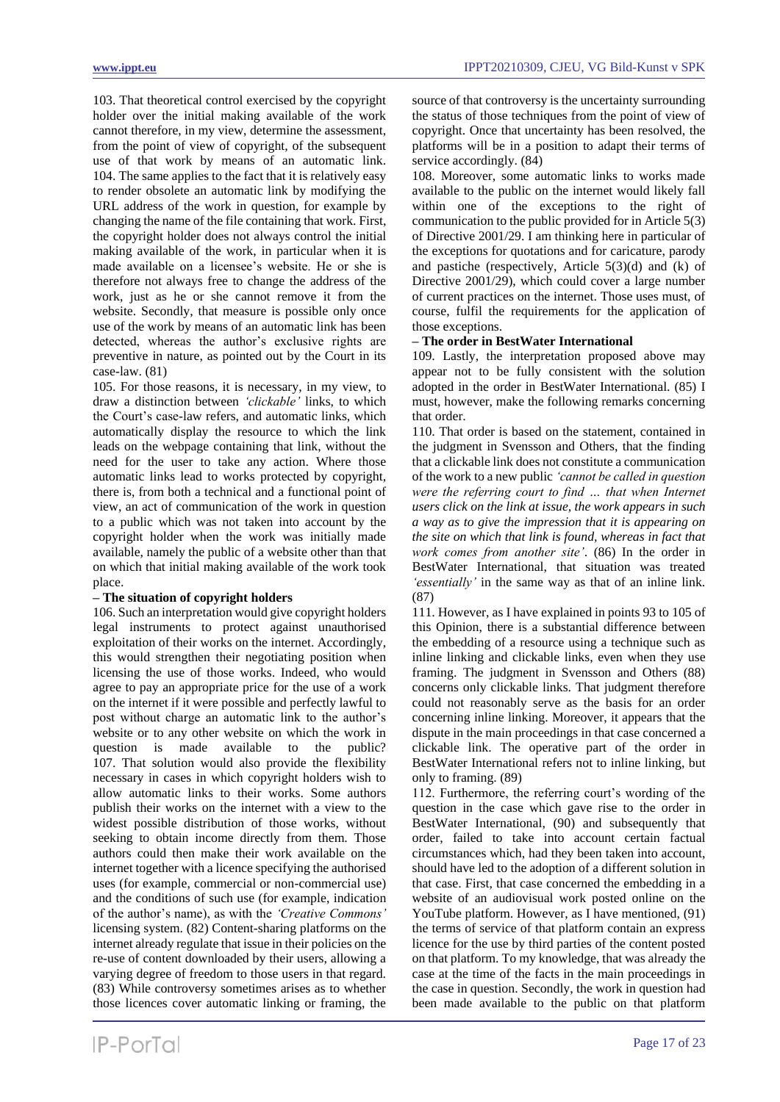103. That theoretical control exercised by the copyright holder over the initial making available of the work cannot therefore, in my view, determine the assessment, from the point of view of copyright, of the subsequent use of that work by means of an automatic link. 104. The same applies to the fact that it is relatively easy to render obsolete an automatic link by modifying the URL address of the work in question, for example by changing the name of the file containing that work. First, the copyright holder does not always control the initial making available of the work, in particular when it is made available on a licensee's website. He or she is therefore not always free to change the address of the work, just as he or she cannot remove it from the website. Secondly, that measure is possible only once use of the work by means of an automatic link has been detected, whereas the author's exclusive rights are preventive in nature, as pointed out by the Court in its case-law. (81)

105. For those reasons, it is necessary, in my view, to draw a distinction between *'clickable'* links, to which the Court's case-law refers, and automatic links, which automatically display the resource to which the link leads on the webpage containing that link, without the need for the user to take any action. Where those automatic links lead to works protected by copyright, there is, from both a technical and a functional point of view, an act of communication of the work in question to a public which was not taken into account by the copyright holder when the work was initially made available, namely the public of a website other than that on which that initial making available of the work took place.

#### **– The situation of copyright holders**

106. Such an interpretation would give copyright holders legal instruments to protect against unauthorised exploitation of their works on the internet. Accordingly, this would strengthen their negotiating position when licensing the use of those works. Indeed, who would agree to pay an appropriate price for the use of a work on the internet if it were possible and perfectly lawful to post without charge an automatic link to the author's website or to any other website on which the work in question is made available to the public? 107. That solution would also provide the flexibility necessary in cases in which copyright holders wish to allow automatic links to their works. Some authors publish their works on the internet with a view to the widest possible distribution of those works, without seeking to obtain income directly from them. Those authors could then make their work available on the internet together with a licence specifying the authorised uses (for example, commercial or non-commercial use) and the conditions of such use (for example, indication of the author's name), as with the *'Creative Commons'* licensing system. (82) Content-sharing platforms on the internet already regulate that issue in their policies on the re-use of content downloaded by their users, allowing a varying degree of freedom to those users in that regard. (83) While controversy sometimes arises as to whether those licences cover automatic linking or framing, the source of that controversy is the uncertainty surrounding the status of those techniques from the point of view of copyright. Once that uncertainty has been resolved, the platforms will be in a position to adapt their terms of service accordingly. (84)

108. Moreover, some automatic links to works made available to the public on the internet would likely fall within one of the exceptions to the right of communication to the public provided for in Article 5(3) of Directive 2001/29. I am thinking here in particular of the exceptions for quotations and for caricature, parody and pastiche (respectively, Article 5(3)(d) and (k) of Directive 2001/29), which could cover a large number of current practices on the internet. Those uses must, of course, fulfil the requirements for the application of those exceptions.

## **– The order in BestWater International**

109. Lastly, the interpretation proposed above may appear not to be fully consistent with the solution adopted in the order in BestWater International. (85) I must, however, make the following remarks concerning that order.

110. That order is based on the statement, contained in the judgment in Svensson and Others, that the finding that a clickable link does not constitute a communication of the work to a new public *'cannot be called in question were the referring court to find … that when Internet users click on the link at issue, the work appears in such a way as to give the impression that it is appearing on the site on which that link is found, whereas in fact that work comes from another site'*. (86) In the order in BestWater International, that situation was treated *'essentially'* in the same way as that of an inline link. (87)

111. However, as I have explained in points 93 to 105 of this Opinion, there is a substantial difference between the embedding of a resource using a technique such as inline linking and clickable links, even when they use framing. The judgment in Svensson and Others (88) concerns only clickable links. That judgment therefore could not reasonably serve as the basis for an order concerning inline linking. Moreover, it appears that the dispute in the main proceedings in that case concerned a clickable link. The operative part of the order in BestWater International refers not to inline linking, but only to framing. (89)

112. Furthermore, the referring court's wording of the question in the case which gave rise to the order in BestWater International, (90) and subsequently that order, failed to take into account certain factual circumstances which, had they been taken into account, should have led to the adoption of a different solution in that case. First, that case concerned the embedding in a website of an audiovisual work posted online on the YouTube platform. However, as I have mentioned, (91) the terms of service of that platform contain an express licence for the use by third parties of the content posted on that platform. To my knowledge, that was already the case at the time of the facts in the main proceedings in the case in question. Secondly, the work in question had been made available to the public on that platform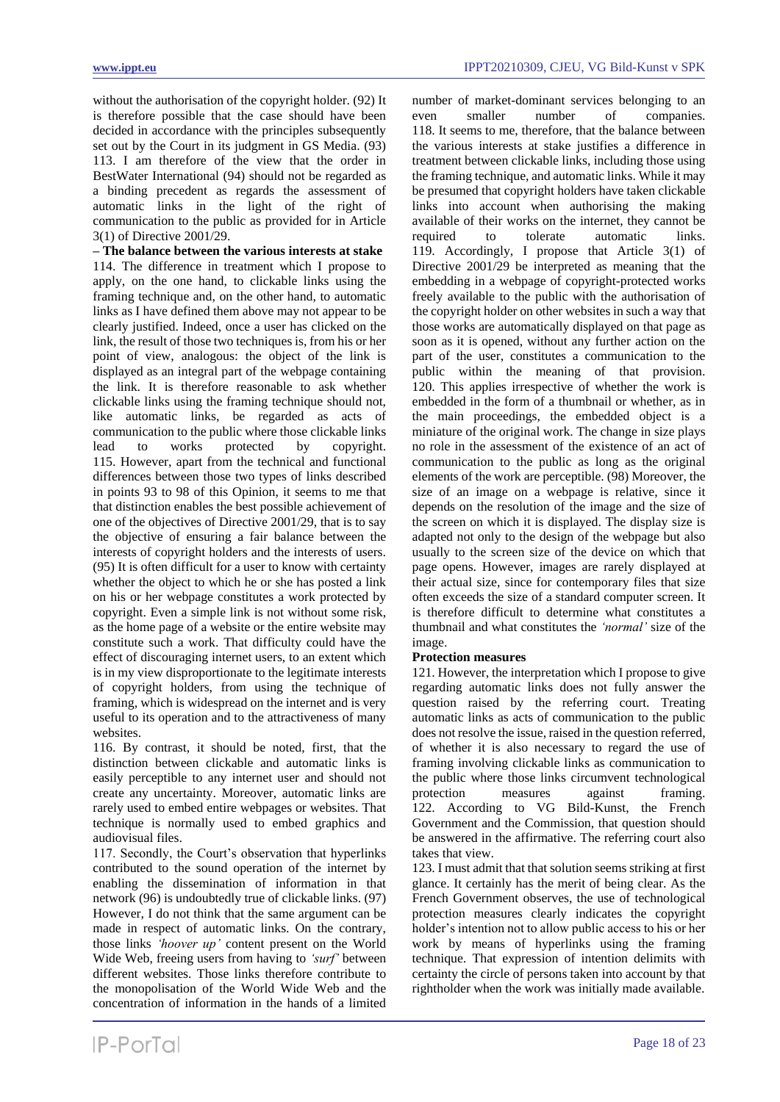without the authorisation of the copyright holder. (92) It is therefore possible that the case should have been decided in accordance with the principles subsequently set out by the Court in its judgment in GS Media. (93) 113. I am therefore of the view that the order in BestWater International (94) should not be regarded as a binding precedent as regards the assessment of automatic links in the light of the right of communication to the public as provided for in Article 3(1) of Directive 2001/29.

**– The balance between the various interests at stake** 114. The difference in treatment which I propose to apply, on the one hand, to clickable links using the framing technique and, on the other hand, to automatic links as I have defined them above may not appear to be clearly justified. Indeed, once a user has clicked on the link, the result of those two techniques is, from his or her point of view, analogous: the object of the link is displayed as an integral part of the webpage containing the link. It is therefore reasonable to ask whether clickable links using the framing technique should not, like automatic links, be regarded as acts of communication to the public where those clickable links lead to works protected by copyright. 115. However, apart from the technical and functional differences between those two types of links described in points 93 to 98 of this Opinion, it seems to me that that distinction enables the best possible achievement of one of the objectives of Directive 2001/29, that is to say the objective of ensuring a fair balance between the interests of copyright holders and the interests of users. (95) It is often difficult for a user to know with certainty whether the object to which he or she has posted a link on his or her webpage constitutes a work protected by copyright. Even a simple link is not without some risk, as the home page of a website or the entire website may constitute such a work. That difficulty could have the effect of discouraging internet users, to an extent which is in my view disproportionate to the legitimate interests of copyright holders, from using the technique of framing, which is widespread on the internet and is very useful to its operation and to the attractiveness of many websites.

116. By contrast, it should be noted, first, that the distinction between clickable and automatic links is easily perceptible to any internet user and should not create any uncertainty. Moreover, automatic links are rarely used to embed entire webpages or websites. That technique is normally used to embed graphics and audiovisual files.

117. Secondly, the Court's observation that hyperlinks contributed to the sound operation of the internet by enabling the dissemination of information in that network (96) is undoubtedly true of clickable links. (97) However, I do not think that the same argument can be made in respect of automatic links. On the contrary, those links *'hoover up'* content present on the World Wide Web, freeing users from having to *'surf'* between different websites. Those links therefore contribute to the monopolisation of the World Wide Web and the concentration of information in the hands of a limited

number of market-dominant services belonging to an even smaller number of companies. 118. It seems to me, therefore, that the balance between the various interests at stake justifies a difference in treatment between clickable links, including those using the framing technique, and automatic links. While it may be presumed that copyright holders have taken clickable links into account when authorising the making available of their works on the internet, they cannot be required to tolerate automatic links. 119. Accordingly, I propose that Article 3(1) of Directive 2001/29 be interpreted as meaning that the embedding in a webpage of copyright-protected works freely available to the public with the authorisation of the copyright holder on other websites in such a way that those works are automatically displayed on that page as soon as it is opened, without any further action on the part of the user, constitutes a communication to the public within the meaning of that provision. 120. This applies irrespective of whether the work is embedded in the form of a thumbnail or whether, as in the main proceedings, the embedded object is a miniature of the original work. The change in size plays no role in the assessment of the existence of an act of communication to the public as long as the original elements of the work are perceptible. (98) Moreover, the size of an image on a webpage is relative, since it depends on the resolution of the image and the size of the screen on which it is displayed. The display size is adapted not only to the design of the webpage but also usually to the screen size of the device on which that page opens. However, images are rarely displayed at their actual size, since for contemporary files that size often exceeds the size of a standard computer screen. It is therefore difficult to determine what constitutes a thumbnail and what constitutes the *'normal'* size of the image.

#### **Protection measures**

121. However, the interpretation which I propose to give regarding automatic links does not fully answer the question raised by the referring court. Treating automatic links as acts of communication to the public does not resolve the issue, raised in the question referred, of whether it is also necessary to regard the use of framing involving clickable links as communication to the public where those links circumvent technological protection measures against framing. 122. According to VG Bild-Kunst, the French Government and the Commission, that question should be answered in the affirmative. The referring court also takes that view.

123. I must admit that that solution seems striking at first glance. It certainly has the merit of being clear. As the French Government observes, the use of technological protection measures clearly indicates the copyright holder's intention not to allow public access to his or her work by means of hyperlinks using the framing technique. That expression of intention delimits with certainty the circle of persons taken into account by that rightholder when the work was initially made available.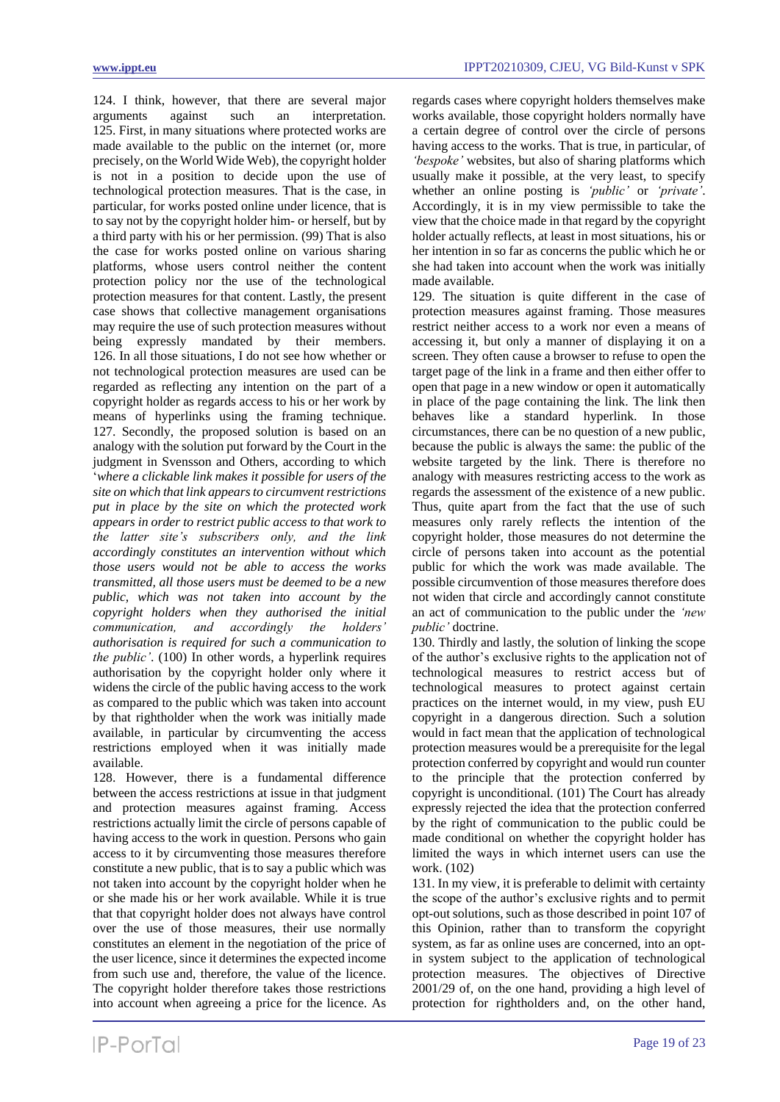124. I think, however, that there are several major arguments against such an interpretation. 125. First, in many situations where protected works are made available to the public on the internet (or, more precisely, on the World Wide Web), the copyright holder is not in a position to decide upon the use of technological protection measures. That is the case, in particular, for works posted online under licence, that is to say not by the copyright holder him- or herself, but by a third party with his or her permission. (99) That is also the case for works posted online on various sharing platforms, whose users control neither the content protection policy nor the use of the technological protection measures for that content. Lastly, the present case shows that collective management organisations may require the use of such protection measures without being expressly mandated by their members. 126. In all those situations, I do not see how whether or not technological protection measures are used can be regarded as reflecting any intention on the part of a copyright holder as regards access to his or her work by means of hyperlinks using the framing technique. 127. Secondly, the proposed solution is based on an analogy with the solution put forward by the Court in the judgment in Svensson and Others, according to which '*where a clickable link makes it possible for users of the site on which that link appears to circumvent restrictions put in place by the site on which the protected work appears in order to restrict public access to that work to the latter site's subscribers only, and the link accordingly constitutes an intervention without which those users would not be able to access the works transmitted, all those users must be deemed to be a new public, which was not taken into account by the copyright holders when they authorised the initial communication, and accordingly the holders' authorisation is required for such a communication to the public'*. (100) In other words, a hyperlink requires authorisation by the copyright holder only where it widens the circle of the public having access to the work as compared to the public which was taken into account by that rightholder when the work was initially made available, in particular by circumventing the access restrictions employed when it was initially made available.

128. However, there is a fundamental difference between the access restrictions at issue in that judgment and protection measures against framing. Access restrictions actually limit the circle of persons capable of having access to the work in question. Persons who gain access to it by circumventing those measures therefore constitute a new public, that is to say a public which was not taken into account by the copyright holder when he or she made his or her work available. While it is true that that copyright holder does not always have control over the use of those measures, their use normally constitutes an element in the negotiation of the price of the user licence, since it determines the expected income from such use and, therefore, the value of the licence. The copyright holder therefore takes those restrictions into account when agreeing a price for the licence. As regards cases where copyright holders themselves make works available, those copyright holders normally have a certain degree of control over the circle of persons having access to the works. That is true, in particular, of *'bespoke'* websites, but also of sharing platforms which usually make it possible, at the very least, to specify whether an online posting is *'public'* or *'private'*. Accordingly, it is in my view permissible to take the view that the choice made in that regard by the copyright holder actually reflects, at least in most situations, his or her intention in so far as concerns the public which he or she had taken into account when the work was initially made available.

129. The situation is quite different in the case of protection measures against framing. Those measures restrict neither access to a work nor even a means of accessing it, but only a manner of displaying it on a screen. They often cause a browser to refuse to open the target page of the link in a frame and then either offer to open that page in a new window or open it automatically in place of the page containing the link. The link then behaves like a standard hyperlink. In those circumstances, there can be no question of a new public, because the public is always the same: the public of the website targeted by the link. There is therefore no analogy with measures restricting access to the work as regards the assessment of the existence of a new public. Thus, quite apart from the fact that the use of such measures only rarely reflects the intention of the copyright holder, those measures do not determine the circle of persons taken into account as the potential public for which the work was made available. The possible circumvention of those measures therefore does not widen that circle and accordingly cannot constitute an act of communication to the public under the *'new public'* doctrine.

130. Thirdly and lastly, the solution of linking the scope of the author's exclusive rights to the application not of technological measures to restrict access but of technological measures to protect against certain practices on the internet would, in my view, push EU copyright in a dangerous direction. Such a solution would in fact mean that the application of technological protection measures would be a prerequisite for the legal protection conferred by copyright and would run counter to the principle that the protection conferred by copyright is unconditional. (101) The Court has already expressly rejected the idea that the protection conferred by the right of communication to the public could be made conditional on whether the copyright holder has limited the ways in which internet users can use the work. (102)

131. In my view, it is preferable to delimit with certainty the scope of the author's exclusive rights and to permit opt-out solutions, such as those described in point 107 of this Opinion, rather than to transform the copyright system, as far as online uses are concerned, into an optin system subject to the application of technological protection measures. The objectives of Directive 2001/29 of, on the one hand, providing a high level of protection for rightholders and, on the other hand,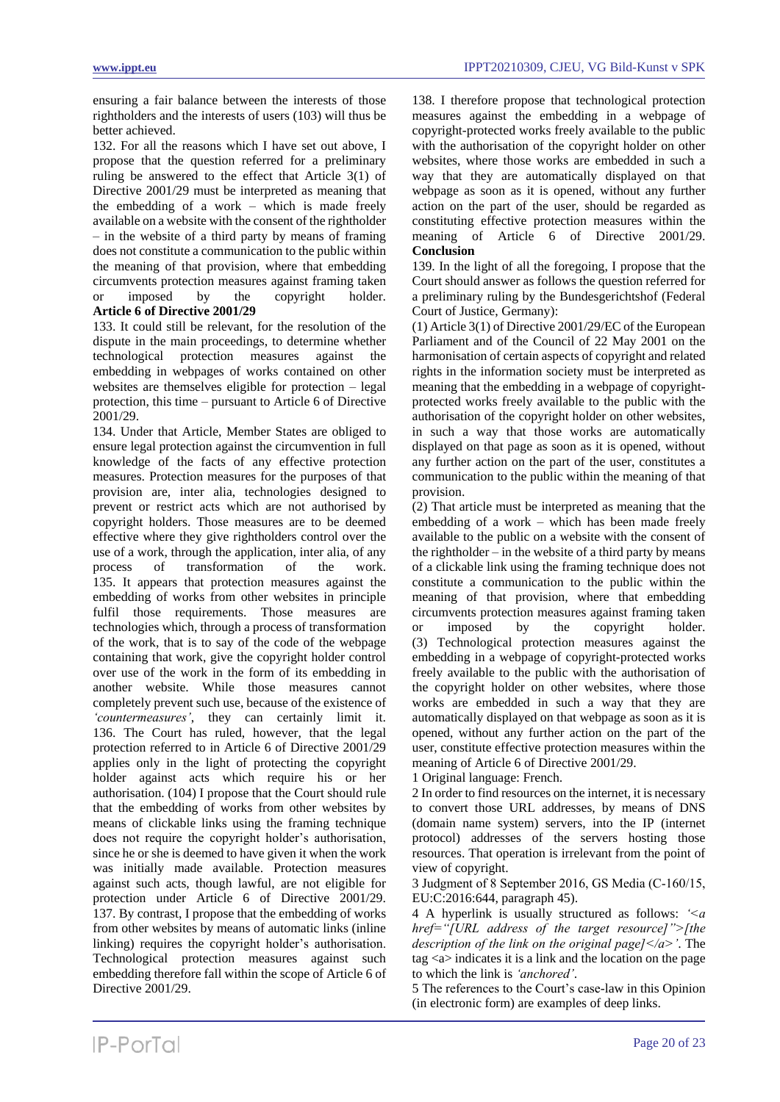ensuring a fair balance between the interests of those rightholders and the interests of users (103) will thus be better achieved.

132. For all the reasons which I have set out above, I propose that the question referred for a preliminary ruling be answered to the effect that Article 3(1) of Directive 2001/29 must be interpreted as meaning that the embedding of a work – which is made freely available on a website with the consent of the rightholder – in the website of a third party by means of framing does not constitute a communication to the public within the meaning of that provision, where that embedding circumvents protection measures against framing taken or imposed by the copyright holder.

## **Article 6 of Directive 2001/29**

133. It could still be relevant, for the resolution of the dispute in the main proceedings, to determine whether technological protection measures against the embedding in webpages of works contained on other websites are themselves eligible for protection – legal protection, this time – pursuant to Article 6 of Directive 2001/29.

134. Under that Article, Member States are obliged to ensure legal protection against the circumvention in full knowledge of the facts of any effective protection measures. Protection measures for the purposes of that provision are, inter alia, technologies designed to prevent or restrict acts which are not authorised by copyright holders. Those measures are to be deemed effective where they give rightholders control over the use of a work, through the application, inter alia, of any process of transformation of the work. 135. It appears that protection measures against the embedding of works from other websites in principle fulfil those requirements. Those measures are technologies which, through a process of transformation of the work, that is to say of the code of the webpage containing that work, give the copyright holder control over use of the work in the form of its embedding in another website. While those measures cannot completely prevent such use, because of the existence of *'countermeasures'*, they can certainly limit it. 136. The Court has ruled, however, that the legal protection referred to in Article 6 of Directive 2001/29 applies only in the light of protecting the copyright holder against acts which require his or her authorisation. (104) I propose that the Court should rule that the embedding of works from other websites by means of clickable links using the framing technique does not require the copyright holder's authorisation, since he or she is deemed to have given it when the work was initially made available. Protection measures against such acts, though lawful, are not eligible for protection under Article 6 of Directive 2001/29. 137. By contrast, I propose that the embedding of works from other websites by means of automatic links (inline linking) requires the copyright holder's authorisation. Technological protection measures against such embedding therefore fall within the scope of Article 6 of Directive 2001/29.

138. I therefore propose that technological protection measures against the embedding in a webpage of copyright-protected works freely available to the public with the authorisation of the copyright holder on other websites, where those works are embedded in such a way that they are automatically displayed on that webpage as soon as it is opened, without any further action on the part of the user, should be regarded as constituting effective protection measures within the meaning of Article 6 of Directive 2001/29. **Conclusion**

139. In the light of all the foregoing, I propose that the Court should answer as follows the question referred for a preliminary ruling by the Bundesgerichtshof (Federal Court of Justice, Germany):

(1) Article 3(1) of Directive 2001/29/EC of the European Parliament and of the Council of 22 May 2001 on the harmonisation of certain aspects of copyright and related rights in the information society must be interpreted as meaning that the embedding in a webpage of copyrightprotected works freely available to the public with the authorisation of the copyright holder on other websites, in such a way that those works are automatically displayed on that page as soon as it is opened, without any further action on the part of the user, constitutes a communication to the public within the meaning of that provision.

(2) That article must be interpreted as meaning that the embedding of a work – which has been made freely available to the public on a website with the consent of the rightholder – in the website of a third party by means of a clickable link using the framing technique does not constitute a communication to the public within the meaning of that provision, where that embedding circumvents protection measures against framing taken or imposed by the copyright holder. (3) Technological protection measures against the embedding in a webpage of copyright-protected works freely available to the public with the authorisation of the copyright holder on other websites, where those works are embedded in such a way that they are automatically displayed on that webpage as soon as it is opened, without any further action on the part of the user, constitute effective protection measures within the meaning of Article 6 of Directive 2001/29.

1 Original language: French.

2 In order to find resources on the internet, it is necessary to convert those URL addresses, by means of DNS (domain name system) servers, into the IP (internet protocol) addresses of the servers hosting those resources. That operation is irrelevant from the point of view of copyright.

3 Judgment of 8 September 2016, GS Media (C‑160/15, EU:C:2016:644, paragraph 45).

4 A hyperlink is usually structured as follows: *'<a href="[URL address of the target resource]">[the description of the link on the original page]</a>'*. The  $tag as indicates it is a link and the location on the page$ to which the link is *'anchored'*.

5 The references to the Court's case-law in this Opinion (in electronic form) are examples of deep links.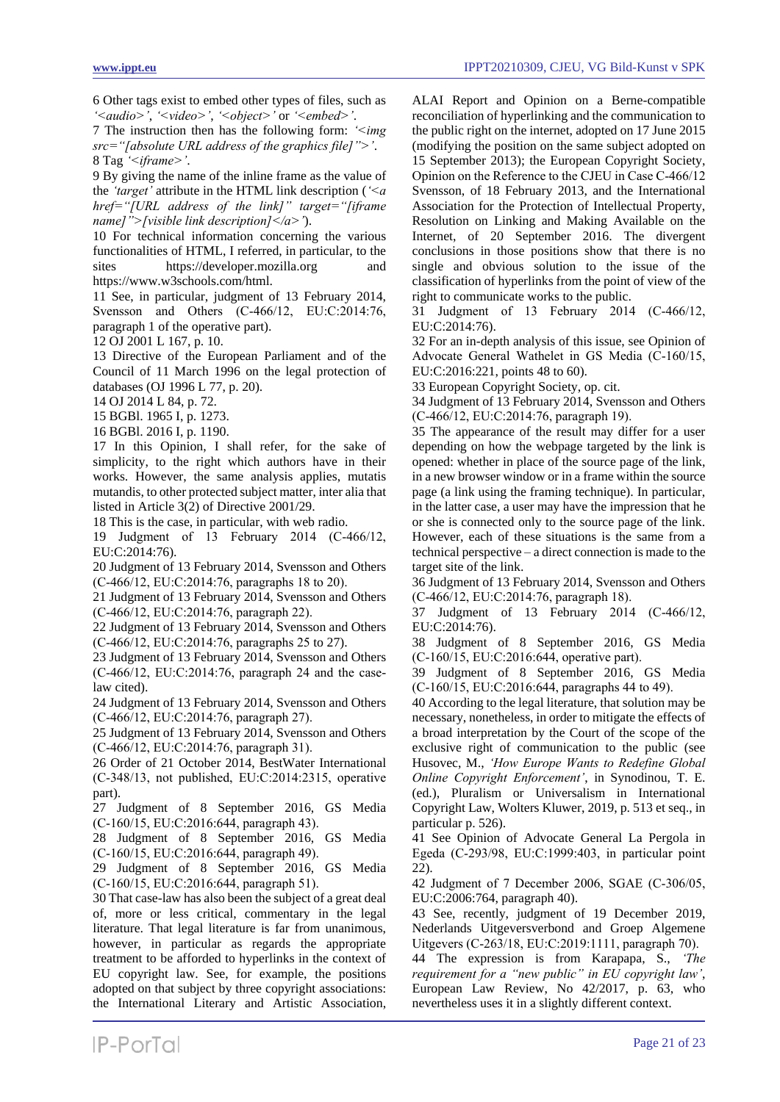6 Other tags exist to embed other types of files, such as *'<audio>'*, *'<video>'*, *'<object>'* or *'<embed>'*.

7 The instruction then has the following form: *'<img src="[absolute URL address of the graphics file]">'*. 8 Tag *'<iframe>'*.

9 By giving the name of the inline frame as the value of the *'target'* attribute in the HTML link description (*'<a href="[URL address of the link]" target="[iframe name]">[visible link description]</a>'*).

10 For technical information concerning the various functionalities of HTML, I referred, in particular, to the sites https://developer.mozilla.org and https://www.w3schools.com/html.

11 See, in particular, judgment of 13 February 2014, Svensson and Others (C-466/12, EU:C:2014:76, paragraph 1 of the operative part).

12 OJ 2001 L 167, p. 10.

13 Directive of the European Parliament and of the Council of 11 March 1996 on the legal protection of databases (OJ 1996 L 77, p. 20).

14 OJ 2014 L 84, p. 72.

15 BGBl. 1965 I, p. 1273.

16 BGBl. 2016 I, p. 1190.

17 In this Opinion, I shall refer, for the sake of simplicity, to the right which authors have in their works. However, the same analysis applies, mutatis mutandis, to other protected subject matter, inter alia that listed in Article 3(2) of Directive 2001/29.

18 This is the case, in particular, with web radio.

19 Judgment of 13 February 2014 (C-466/12, EU:C:2014:76).

20 Judgment of 13 February 2014, Svensson and Others (C‑466/12, EU:C:2014:76, paragraphs 18 to 20).

21 Judgment of 13 February 2014, Svensson and Others (C‑466/12, EU:C:2014:76, paragraph 22).

22 Judgment of 13 February 2014, Svensson and Others (C‑466/12, EU:C:2014:76, paragraphs 25 to 27).

23 Judgment of 13 February 2014, Svensson and Others (C‑466/12, EU:C:2014:76, paragraph 24 and the caselaw cited).

24 Judgment of 13 February 2014, Svensson and Others (C‑466/12, EU:C:2014:76, paragraph 27).

25 Judgment of 13 February 2014, Svensson and Others (C‑466/12, EU:C:2014:76, paragraph 31).

26 Order of 21 October 2014, BestWater International (C‑348/13, not published, EU:C:2014:2315, operative part).

27 Judgment of 8 September 2016, GS Media (C‑160/15, EU:C:2016:644, paragraph 43).

28 Judgment of 8 September 2016, GS Media (C‑160/15, EU:C:2016:644, paragraph 49).

29 Judgment of 8 September 2016, GS Media (C‑160/15, EU:C:2016:644, paragraph 51).

30 That case-law has also been the subject of a great deal of, more or less critical, commentary in the legal literature. That legal literature is far from unanimous, however, in particular as regards the appropriate treatment to be afforded to hyperlinks in the context of EU copyright law. See, for example, the positions adopted on that subject by three copyright associations: the International Literary and Artistic Association, ALAI Report and Opinion on a Berne-compatible reconciliation of hyperlinking and the communication to the public right on the internet, adopted on 17 June 2015 (modifying the position on the same subject adopted on 15 September 2013); the European Copyright Society, Opinion on the Reference to the CJEU in Case C‑466/12 Svensson, of 18 February 2013, and the International Association for the Protection of Intellectual Property, Resolution on Linking and Making Available on the Internet, of 20 September 2016. The divergent conclusions in those positions show that there is no single and obvious solution to the issue of the classification of hyperlinks from the point of view of the right to communicate works to the public.

31 Judgment of 13 February 2014 (C‑466/12, EU:C:2014:76).

32 For an in-depth analysis of this issue, see Opinion of Advocate General Wathelet in GS Media (C‑160/15, EU:C:2016:221, points 48 to 60).

33 European Copyright Society, op. cit.

34 Judgment of 13 February 2014, Svensson and Others (C‑466/12, EU:C:2014:76, paragraph 19).

35 The appearance of the result may differ for a user depending on how the webpage targeted by the link is opened: whether in place of the source page of the link, in a new browser window or in a frame within the source page (a link using the framing technique). In particular, in the latter case, a user may have the impression that he or she is connected only to the source page of the link. However, each of these situations is the same from a technical perspective – a direct connection is made to the target site of the link.

36 Judgment of 13 February 2014, Svensson and Others (C‑466/12, EU:C:2014:76, paragraph 18).

37 Judgment of 13 February 2014 (C‑466/12, EU:C:2014:76).

38 Judgment of 8 September 2016, GS Media (C‑160/15, EU:C:2016:644, operative part).

39 Judgment of 8 September 2016, GS Media (C‑160/15, EU:C:2016:644, paragraphs 44 to 49).

40 According to the legal literature, that solution may be necessary, nonetheless, in order to mitigate the effects of a broad interpretation by the Court of the scope of the exclusive right of communication to the public (see Husovec, M., *'How Europe Wants to Redefine Global Online Copyright Enforcement'*, in Synodinou, T. E. (ed.), Pluralism or Universalism in International Copyright Law, Wolters Kluwer, 2019, p. 513 et seq., in particular p. 526).

41 See Opinion of Advocate General La Pergola in Egeda (C‑293/98, EU:C:1999:403, in particular point 22).

42 Judgment of 7 December 2006, SGAE (C‑306/05, EU:C:2006:764, paragraph 40).

43 See, recently, judgment of 19 December 2019, Nederlands Uitgeversverbond and Groep Algemene Uitgevers (C‑263/18, EU:C:2019:1111, paragraph 70).

44 The expression is from Karapapa, S., *'The requirement for a "new public" in EU copyright law'*, European Law Review, No 42/2017, p. 63, who nevertheless uses it in a slightly different context.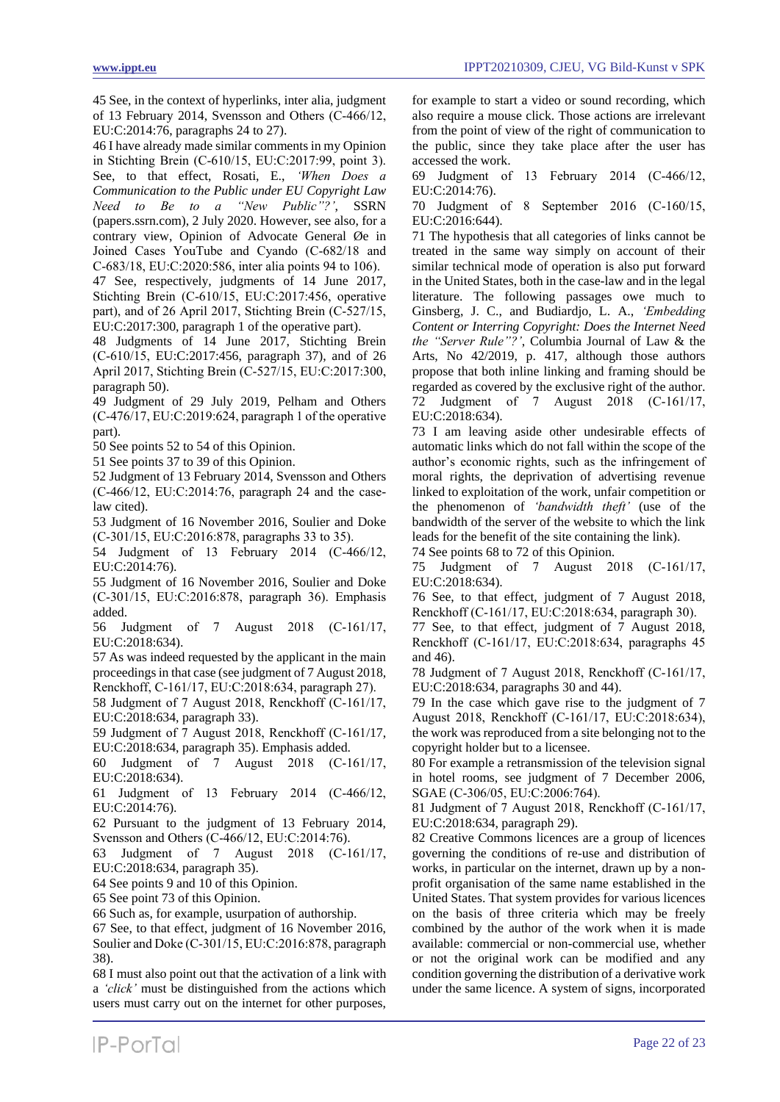45 See, in the context of hyperlinks, inter alia, judgment of 13 February 2014, Svensson and Others (C‑466/12, EU:C:2014:76, paragraphs 24 to 27).

46 I have already made similar comments in my Opinion in Stichting Brein (C‑610/15, EU:C:2017:99, point 3). See, to that effect, Rosati, E., *'When Does a Communication to the Public under EU Copyright Law Need to Be to a "New Public"?'*, SSRN (papers.ssrn.com), 2 July 2020. However, see also, for a contrary view, Opinion of Advocate General Øe in Joined Cases YouTube and Cyando (C‑682/18 and C‑683/18, EU:C:2020:586, inter alia points 94 to 106).

47 See, respectively, judgments of 14 June 2017, Stichting Brein (C-610/15, EU:C:2017:456, operative part), and of 26 April 2017, Stichting Brein (C‑527/15, EU:C:2017:300, paragraph 1 of the operative part).

48 Judgments of 14 June 2017, Stichting Brein (C‑610/15, EU:C:2017:456, paragraph 37), and of 26 April 2017, Stichting Brein (C‑527/15, EU:C:2017:300, paragraph 50).

49 Judgment of 29 July 2019, Pelham and Others  $(C-476/17, EU:C:2019:624, paragraph 1 of the operative$ part).

50 See points 52 to 54 of this Opinion.

51 See points 37 to 39 of this Opinion.

52 Judgment of 13 February 2014, Svensson and Others (C‑466/12, EU:C:2014:76, paragraph 24 and the caselaw cited).

53 Judgment of 16 November 2016, Soulier and Doke (C‑301/15, EU:C:2016:878, paragraphs 33 to 35).

54 Judgment of 13 February 2014 (C-466/12, EU:C:2014:76).

55 Judgment of 16 November 2016, Soulier and Doke (C‑301/15, EU:C:2016:878, paragraph 36). Emphasis added.

56 Judgment of 7 August 2018 (C-161/17, EU:C:2018:634).

57 As was indeed requested by the applicant in the main proceedings in that case (see judgment of 7 August 2018, Renckhoff, C‑161/17, EU:C:2018:634, paragraph 27).

58 Judgment of 7 August 2018, Renckhoff (C-161/17, EU:C:2018:634, paragraph 33).

59 Judgment of 7 August 2018, Renckhoff (C‑161/17, EU:C:2018:634, paragraph 35). Emphasis added.

60 Judgment of 7 August 2018 (C‑161/17, EU:C:2018:634).

61 Judgment of 13 February 2014 (C‑466/12, EU:C:2014:76).

62 Pursuant to the judgment of 13 February 2014, Svensson and Others (C-466/12, EU:C:2014:76).

63 Judgment of 7 August 2018 (C‑161/17, EU:C:2018:634, paragraph 35).

64 See points 9 and 10 of this Opinion.

65 See point 73 of this Opinion.

66 Such as, for example, usurpation of authorship.

67 See, to that effect, judgment of 16 November 2016, Soulier and Doke (C‑301/15, EU:C:2016:878, paragraph 38).

68 I must also point out that the activation of a link with a *'click'* must be distinguished from the actions which users must carry out on the internet for other purposes,

for example to start a video or sound recording, which also require a mouse click. Those actions are irrelevant from the point of view of the right of communication to the public, since they take place after the user has accessed the work.

69 Judgment of 13 February 2014 (C‑466/12, EU:C:2014:76).

70 Judgment of 8 September 2016 (C‑160/15, EU:C:2016:644).

71 The hypothesis that all categories of links cannot be treated in the same way simply on account of their similar technical mode of operation is also put forward in the United States, both in the case-law and in the legal literature. The following passages owe much to Ginsberg, J. C., and Budiardjo, L. A., *'Embedding Content or Interring Copyright: Does the Internet Need the "Server Rule"?'*, Columbia Journal of Law & the Arts, No 42/2019, p. 417, although those authors propose that both inline linking and framing should be regarded as covered by the exclusive right of the author. 72 Judgment of 7 August 2018 (C-161/17, EU:C:2018:634).

73 I am leaving aside other undesirable effects of automatic links which do not fall within the scope of the author's economic rights, such as the infringement of moral rights, the deprivation of advertising revenue linked to exploitation of the work, unfair competition or the phenomenon of *'bandwidth theft'* (use of the bandwidth of the server of the website to which the link leads for the benefit of the site containing the link).

74 See points 68 to 72 of this Opinion.

75 Judgment of 7 August 2018 (C‑161/17, EU:C:2018:634).

76 See, to that effect, judgment of 7 August 2018, Renckhoff (C‑161/17, EU:C:2018:634, paragraph 30).

77 See, to that effect, judgment of 7 August 2018, Renckhoff (C‑161/17, EU:C:2018:634, paragraphs 45 and 46).

78 Judgment of 7 August 2018, Renckhoff (C‑161/17, EU:C:2018:634, paragraphs 30 and 44).

79 In the case which gave rise to the judgment of 7 August 2018, Renckhoff (C‑161/17, EU:C:2018:634), the work was reproduced from a site belonging not to the copyright holder but to a licensee.

80 For example a retransmission of the television signal in hotel rooms, see judgment of 7 December 2006, SGAE (C‑306/05, EU:C:2006:764).

81 Judgment of 7 August 2018, Renckhoff (C-161/17, EU:C:2018:634, paragraph 29).

82 Creative Commons licences are a group of licences governing the conditions of re-use and distribution of works, in particular on the internet, drawn up by a nonprofit organisation of the same name established in the United States. That system provides for various licences on the basis of three criteria which may be freely combined by the author of the work when it is made available: commercial or non-commercial use, whether or not the original work can be modified and any condition governing the distribution of a derivative work under the same licence. A system of signs, incorporated